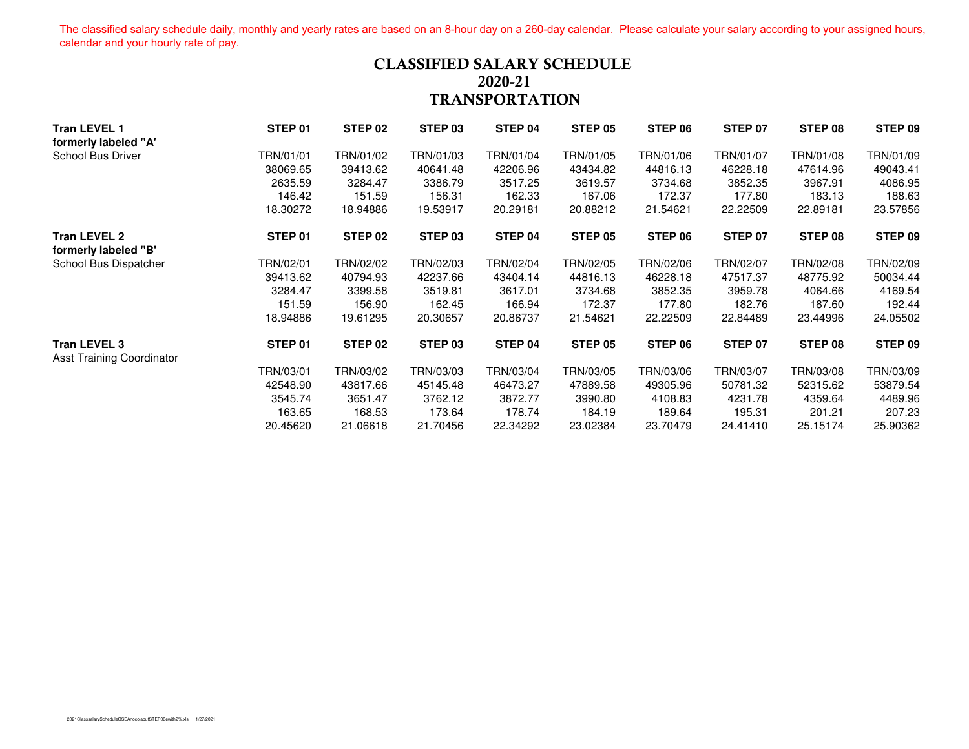The classified salary schedule daily, monthly and yearly rates are based on an 8-hour day on a 260-day calendar. Please calculate your salary according to your assigned hours, calendar and your hourly rate of pay.

### **CLASSIFIED SALARY SCHEDULE 2020-21TRANSPORTATION**

| <b>Tran LEVEL 1</b>                                     | STEP 01   | STEP 02   | STEP 03   | STEP 04   | STEP 05   | STEP 06   | STEP 07   | STEP 08   | STEP 09   |
|---------------------------------------------------------|-----------|-----------|-----------|-----------|-----------|-----------|-----------|-----------|-----------|
| formerly labeled "A"                                    |           |           |           |           |           |           |           |           |           |
| School Bus Driver                                       | TRN/01/01 | TRN/01/02 | TRN/01/03 | TRN/01/04 | TRN/01/05 | TRN/01/06 | TRN/01/07 | TRN/01/08 | TRN/01/09 |
|                                                         | 38069.65  | 39413.62  | 40641.48  | 42206.96  | 43434.82  | 44816.13  | 46228.18  | 47614.96  | 49043.41  |
|                                                         | 2635.59   | 3284.47   | 3386.79   | 3517.25   | 3619.57   | 3734.68   | 3852.35   | 3967.91   | 4086.95   |
|                                                         | 146.42    | 151.59    | 156.31    | 162.33    | 167.06    | 172.37    | 177.80    | 183.13    | 188.63    |
|                                                         | 18.30272  | 18.94886  | 19.53917  | 20.29181  | 20.88212  | 21.54621  | 22.22509  | 22.89181  | 23.57856  |
| <b>Tran LEVEL 2</b><br>formerly labeled "B"             | STEP 01   | STEP 02   | STEP 03   | STEP 04   | STEP 05   | STEP 06   | STEP 07   | STEP 08   | STEP 09   |
| School Bus Dispatcher                                   | TRN/02/01 | TRN/02/02 | TRN/02/03 | TRN/02/04 | TRN/02/05 | TRN/02/06 | TRN/02/07 | TRN/02/08 | TRN/02/09 |
|                                                         | 39413.62  | 40794.93  | 42237.66  | 43404.14  | 44816.13  | 46228.18  | 47517.37  | 48775.92  | 50034.44  |
|                                                         | 3284.47   | 3399.58   | 3519.81   | 3617.01   | 3734.68   | 3852.35   | 3959.78   | 4064.66   | 4169.54   |
|                                                         | 151.59    | 156.90    | 162.45    | 166.94    | 172.37    | 177.80    | 182.76    | 187.60    | 192.44    |
|                                                         | 18.94886  | 19.61295  | 20.30657  | 20.86737  | 21.54621  | 22.22509  | 22.84489  | 23.44996  | 24.05502  |
| <b>Tran LEVEL 3</b><br><b>Asst Training Coordinator</b> | STEP 01   | STEP 02   | STEP 03   | STEP 04   | STEP 05   | STEP 06   | STEP 07   | STEP 08   | STEP 09   |
|                                                         | TRN/03/01 | TRN/03/02 | TRN/03/03 | TRN/03/04 | TRN/03/05 | TRN/03/06 | TRN/03/07 | TRN/03/08 | TRN/03/09 |
|                                                         | 42548.90  | 43817.66  | 45145.48  | 46473.27  | 47889.58  | 49305.96  | 50781.32  | 52315.62  | 53879.54  |
|                                                         | 3545.74   | 3651.47   | 3762.12   | 3872.77   | 3990.80   | 4108.83   | 4231.78   | 4359.64   | 4489.96   |
|                                                         | 163.65    | 168.53    | 173.64    | 178.74    | 184.19    | 189.64    | 195.31    | 201.21    | 207.23    |
|                                                         | 20.45620  | 21.06618  | 21.70456  | 22.34292  | 23.02384  | 23.70479  | 24.41410  | 25.15174  | 25.90362  |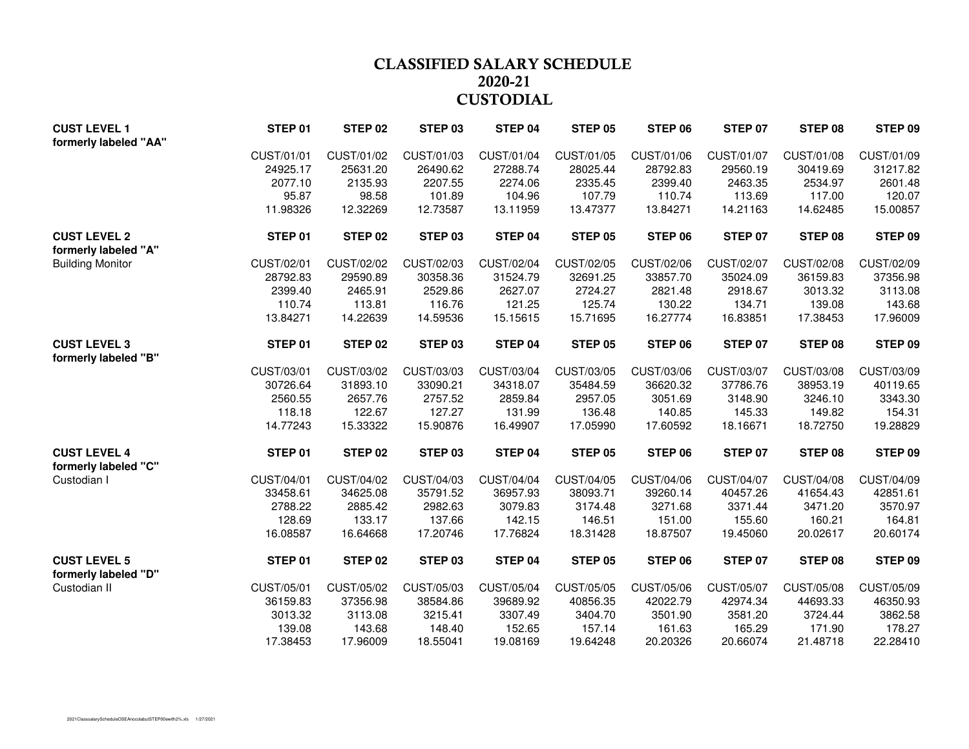## **CLASSIFIED SALARY SCHEDULE 2020-21CUSTODIAL**

| <b>CUST LEVEL 1</b><br>formerly labeled "AA" | STEP 01    | STEP 02    | STEP <sub>03</sub> | STEP 04           | <b>STEP 05</b> | STEP 06    | <b>STEP 07</b> | STEP 08    | STEP 09    |
|----------------------------------------------|------------|------------|--------------------|-------------------|----------------|------------|----------------|------------|------------|
|                                              | CUST/01/01 | CUST/01/02 | CUST/01/03         | CUST/01/04        | CUST/01/05     | CUST/01/06 | CUST/01/07     | CUST/01/08 | CUST/01/09 |
|                                              | 24925.17   | 25631.20   | 26490.62           | 27288.74          | 28025.44       | 28792.83   | 29560.19       | 30419.69   | 31217.82   |
|                                              | 2077.10    | 2135.93    | 2207.55            | 2274.06           | 2335.45        | 2399.40    | 2463.35        | 2534.97    | 2601.48    |
|                                              | 95.87      | 98.58      | 101.89             | 104.96            | 107.79         | 110.74     | 113.69         | 117.00     | 120.07     |
|                                              | 11.98326   | 12.32269   | 12.73587           | 13.11959          | 13.47377       | 13.84271   | 14.21163       | 14.62485   | 15.00857   |
| <b>CUST LEVEL 2</b><br>formerly labeled "A"  | STEP 01    | STEP 02    | STEP 03            | STEP 04           | STEP 05        | STEP 06    | STEP 07        | STEP 08    | STEP 09    |
| <b>Building Monitor</b>                      | CUST/02/01 | CUST/02/02 | CUST/02/03         | <b>CUST/02/04</b> | CUST/02/05     | CUST/02/06 | CUST/02/07     | CUST/02/08 | CUST/02/09 |
|                                              | 28792.83   | 29590.89   | 30358.36           | 31524.79          | 32691.25       | 33857.70   | 35024.09       | 36159.83   | 37356.98   |
|                                              | 2399.40    | 2465.91    | 2529.86            | 2627.07           | 2724.27        | 2821.48    | 2918.67        | 3013.32    | 3113.08    |
|                                              | 110.74     | 113.81     | 116.76             | 121.25            | 125.74         | 130.22     | 134.71         | 139.08     | 143.68     |
|                                              | 13.84271   | 14.22639   | 14.59536           | 15.15615          | 15.71695       | 16.27774   | 16.83851       | 17.38453   | 17.96009   |
| <b>CUST LEVEL 3</b><br>formerly labeled "B"  | STEP 01    | STEP 02    | STEP 03            | STEP 04           | <b>STEP 05</b> | STEP 06    | <b>STEP 07</b> | STEP 08    | STEP 09    |
|                                              | CUST/03/01 | CUST/03/02 | CUST/03/03         | CUST/03/04        | CUST/03/05     | CUST/03/06 | CUST/03/07     | CUST/03/08 | CUST/03/09 |
|                                              | 30726.64   | 31893.10   | 33090.21           | 34318.07          | 35484.59       | 36620.32   | 37786.76       | 38953.19   | 40119.65   |
|                                              | 2560.55    | 2657.76    | 2757.52            | 2859.84           | 2957.05        | 3051.69    | 3148.90        | 3246.10    | 3343.30    |
|                                              | 118.18     | 122.67     | 127.27             | 131.99            | 136.48         | 140.85     | 145.33         | 149.82     | 154.31     |
|                                              | 14.77243   | 15.33322   | 15.90876           | 16.49907          | 17.05990       | 17.60592   | 18.16671       | 18.72750   | 19.28829   |
| <b>CUST LEVEL 4</b><br>formerly labeled "C"  | STEP 01    | STEP 02    | STEP 03            | STEP 04           | STEP 05        | STEP 06    | STEP 07        | STEP 08    | STEP 09    |
| Custodian I                                  | CUST/04/01 | CUST/04/02 | CUST/04/03         | CUST/04/04        | CUST/04/05     | CUST/04/06 | CUST/04/07     | CUST/04/08 | CUST/04/09 |
|                                              | 33458.61   | 34625.08   | 35791.52           | 36957.93          | 38093.71       | 39260.14   | 40457.26       | 41654.43   | 42851.61   |
|                                              | 2788.22    | 2885.42    | 2982.63            | 3079.83           | 3174.48        | 3271.68    | 3371.44        | 3471.20    | 3570.97    |
|                                              | 128.69     | 133.17     | 137.66             | 142.15            | 146.51         | 151.00     | 155.60         | 160.21     | 164.81     |
|                                              | 16.08587   | 16.64668   | 17.20746           | 17.76824          | 18.31428       | 18.87507   | 19.45060       | 20.02617   | 20.60174   |
| <b>CUST LEVEL 5</b><br>formerly labeled "D"  | STEP 01    | STEP 02    | STEP 03            | STEP 04           | <b>STEP 05</b> | STEP 06    | STEP 07        | STEP 08    | STEP 09    |
| Custodian II                                 | CUST/05/01 | CUST/05/02 | CUST/05/03         | CUST/05/04        | CUST/05/05     | CUST/05/06 | CUST/05/07     | CUST/05/08 | CUST/05/09 |
|                                              | 36159.83   | 37356.98   | 38584.86           | 39689.92          | 40856.35       | 42022.79   | 42974.34       | 44693.33   | 46350.93   |
|                                              | 3013.32    | 3113.08    | 3215.41            | 3307.49           | 3404.70        | 3501.90    | 3581.20        | 3724.44    | 3862.58    |
|                                              | 139.08     | 143.68     | 148.40             | 152.65            | 157.14         | 161.63     | 165.29         | 171.90     | 178.27     |
|                                              | 17.38453   | 17.96009   | 18.55041           | 19.08169          | 19.64248       | 20.20326   | 20.66074       | 21.48718   | 22.28410   |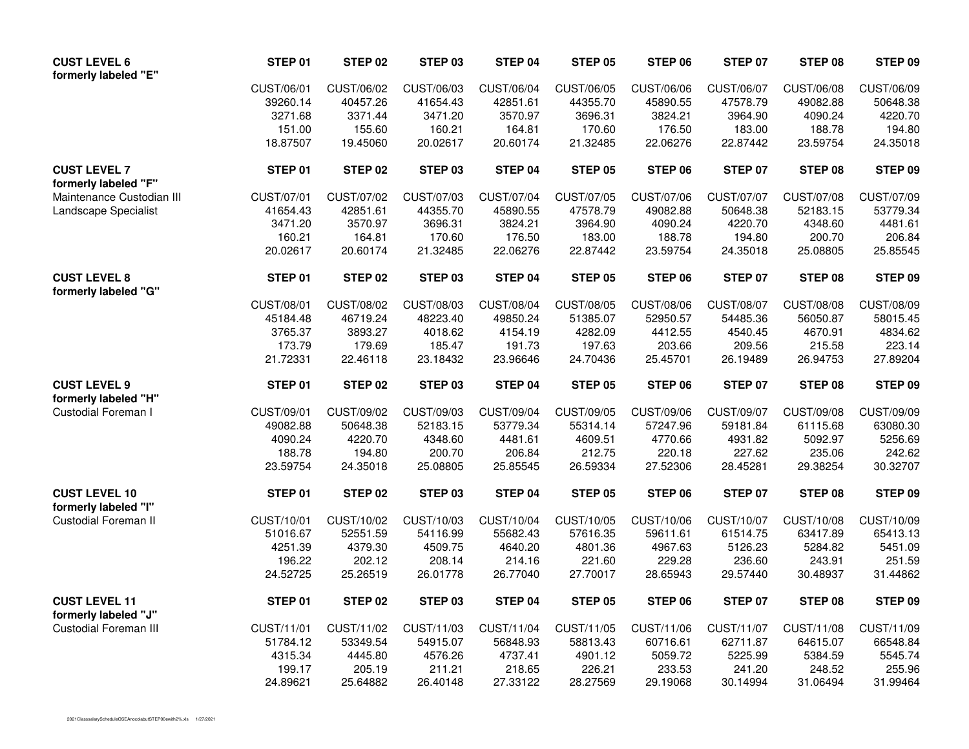| <b>CUST LEVEL 6</b><br>formerly labeled "E"  | STEP 01    | STEP 02        | STEP 03    | STEP 04    | <b>STEP 05</b> | STEP 06    | <b>STEP 07</b> | STEP 08           | STEP 09    |
|----------------------------------------------|------------|----------------|------------|------------|----------------|------------|----------------|-------------------|------------|
|                                              | CUST/06/01 | CUST/06/02     | CUST/06/03 | CUST/06/04 | CUST/06/05     | CUST/06/06 | CUST/06/07     | CUST/06/08        | CUST/06/09 |
|                                              | 39260.14   | 40457.26       | 41654.43   | 42851.61   | 44355.70       | 45890.55   | 47578.79       | 49082.88          | 50648.38   |
|                                              | 3271.68    | 3371.44        | 3471.20    | 3570.97    | 3696.31        | 3824.21    | 3964.90        | 4090.24           | 4220.70    |
|                                              | 151.00     | 155.60         | 160.21     | 164.81     | 170.60         | 176.50     | 183.00         | 188.78            | 194.80     |
|                                              | 18.87507   | 19.45060       | 20.02617   | 20.60174   | 21.32485       | 22.06276   | 22.87442       | 23.59754          | 24.35018   |
| <b>CUST LEVEL 7</b><br>formerly labeled "F"  | STEP 01    | STEP 02        | STEP 03    | STEP 04    | STEP 05        | STEP 06    | STEP 07        | STEP 08           | STEP 09    |
| Maintenance Custodian III                    | CUST/07/01 | CUST/07/02     | CUST/07/03 | CUST/07/04 | CUST/07/05     | CUST/07/06 | CUST/07/07     | CUST/07/08        | CUST/07/09 |
| Landscape Specialist                         | 41654.43   | 42851.61       | 44355.70   | 45890.55   | 47578.79       | 49082.88   | 50648.38       | 52183.15          | 53779.34   |
|                                              | 3471.20    | 3570.97        | 3696.31    | 3824.21    | 3964.90        | 4090.24    | 4220.70        | 4348.60           | 4481.61    |
|                                              | 160.21     | 164.81         | 170.60     | 176.50     | 183.00         | 188.78     | 194.80         | 200.70            | 206.84     |
|                                              | 20.02617   | 20.60174       | 21.32485   | 22.06276   | 22.87442       | 23.59754   | 24.35018       | 25.08805          | 25.85545   |
| <b>CUST LEVEL 8</b><br>formerly labeled "G"  | STEP 01    | <b>STEP 02</b> | STEP 03    | STEP 04    | STEP 05        | STEP 06    | <b>STEP 07</b> | STEP 08           | STEP 09    |
|                                              | CUST/08/01 | CUST/08/02     | CUST/08/03 | CUST/08/04 | CUST/08/05     | CUST/08/06 | CUST/08/07     | <b>CUST/08/08</b> | CUST/08/09 |
|                                              | 45184.48   | 46719.24       | 48223.40   | 49850.24   | 51385.07       | 52950.57   | 54485.36       | 56050.87          | 58015.45   |
|                                              | 3765.37    | 3893.27        | 4018.62    | 4154.19    | 4282.09        | 4412.55    | 4540.45        | 4670.91           | 4834.62    |
|                                              | 173.79     | 179.69         | 185.47     | 191.73     | 197.63         | 203.66     | 209.56         | 215.58            | 223.14     |
|                                              | 21.72331   | 22.46118       | 23.18432   | 23.96646   | 24.70436       | 25.45701   | 26.19489       | 26.94753          | 27.89204   |
| <b>CUST LEVEL 9</b>                          | STEP 01    | STEP 02        | STEP 03    | STEP 04    | STEP 05        | STEP 06    | <b>STEP 07</b> | STEP 08           | STEP 09    |
| formerly labeled "H"                         |            |                |            |            |                |            |                |                   |            |
| Custodial Foreman I                          | CUST/09/01 | CUST/09/02     | CUST/09/03 | CUST/09/04 | CUST/09/05     | CUST/09/06 | CUST/09/07     | CUST/09/08        | CUST/09/09 |
|                                              | 49082.88   | 50648.38       | 52183.15   | 53779.34   | 55314.14       | 57247.96   | 59181.84       | 61115.68          | 63080.30   |
|                                              | 4090.24    | 4220.70        | 4348.60    | 4481.61    | 4609.51        | 4770.66    | 4931.82        | 5092.97           | 5256.69    |
|                                              | 188.78     | 194.80         | 200.70     | 206.84     | 212.75         | 220.18     | 227.62         | 235.06            | 242.62     |
|                                              | 23.59754   | 24.35018       | 25.08805   | 25.85545   | 26.59334       | 27.52306   | 28.45281       | 29.38254          | 30.32707   |
| <b>CUST LEVEL 10</b><br>formerly labeled "I" | STEP 01    | STEP 02        | STEP 03    | STEP 04    | STEP 05        | STEP 06    | <b>STEP 07</b> | STEP 08           | STEP 09    |
| <b>Custodial Foreman II</b>                  | CUST/10/01 | CUST/10/02     | CUST/10/03 | CUST/10/04 | CUST/10/05     | CUST/10/06 | CUST/10/07     | CUST/10/08        | CUST/10/09 |
|                                              | 51016.67   | 52551.59       | 54116.99   | 55682.43   | 57616.35       | 59611.61   | 61514.75       | 63417.89          | 65413.13   |
|                                              | 4251.39    | 4379.30        | 4509.75    | 4640.20    | 4801.36        | 4967.63    | 5126.23        | 5284.82           | 5451.09    |
|                                              | 196.22     | 202.12         | 208.14     | 214.16     | 221.60         | 229.28     | 236.60         | 243.91            | 251.59     |
|                                              | 24.52725   | 25.26519       | 26.01778   | 26.77040   | 27.70017       | 28.65943   | 29.57440       | 30.48937          | 31.44862   |
| <b>CUST LEVEL 11</b><br>formerly labeled "J" | STEP 01    | STEP 02        | STEP 03    | STEP 04    | STEP 05        | STEP 06    | <b>STEP 07</b> | STEP 08           | STEP 09    |
| <b>Custodial Foreman III</b>                 | CUST/11/01 | CUST/11/02     | CUST/11/03 | CUST/11/04 | CUST/11/05     | CUST/11/06 | CUST/11/07     | CUST/11/08        | CUST/11/09 |
|                                              | 51784.12   | 53349.54       | 54915.07   | 56848.93   | 58813.43       | 60716.61   | 62711.87       | 64615.07          | 66548.84   |
|                                              | 4315.34    | 4445.80        | 4576.26    | 4737.41    | 4901.12        | 5059.72    | 5225.99        | 5384.59           | 5545.74    |
|                                              | 199.17     | 205.19         | 211.21     | 218.65     | 226.21         | 233.53     | 241.20         | 248.52            | 255.96     |
|                                              | 24.89621   | 25.64882       | 26.40148   | 27.33122   | 28.27569       | 29.19068   | 30.14994       | 31.06494          | 31.99464   |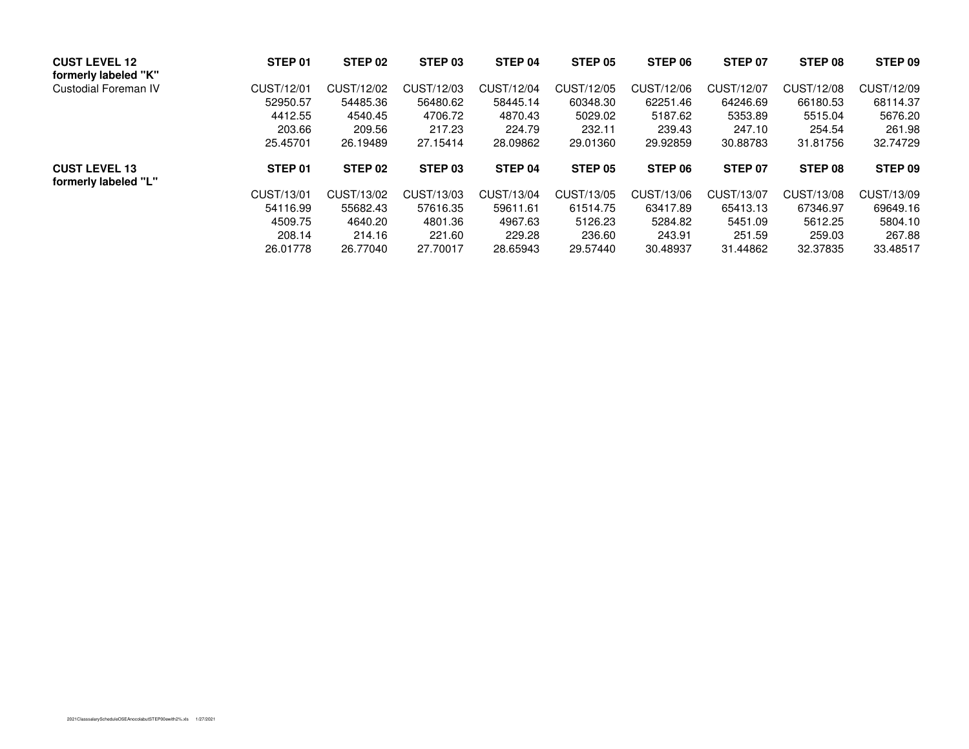| <b>CUST LEVEL 12</b><br>formerly labeled "K" | STEP 01    | STEP 02            | STEP 03    | STEP 04    | STEP 05            | STEP 06    | STEP 07    | STEP 08    | STEP 09    |
|----------------------------------------------|------------|--------------------|------------|------------|--------------------|------------|------------|------------|------------|
| Custodial Foreman IV                         | CUST/12/01 | CUST/12/02         | CUST/12/03 | CUST/12/04 | CUST/12/05         | CUST/12/06 | CUST/12/07 | CUST/12/08 | CUST/12/09 |
|                                              | 52950.57   | 54485.36           | 56480.62   | 58445.14   | 60348.30           | 62251.46   | 64246.69   | 66180.53   | 68114.37   |
|                                              | 4412.55    | 4540.45            | 4706.72    | 4870.43    | 5029.02            | 5187.62    | 5353.89    | 5515.04    | 5676.20    |
|                                              | 203.66     | 209.56             | 217.23     | 224.79     | 232.11             | 239.43     | 247.10     | 254.54     | 261.98     |
|                                              | 25.45701   | 26.19489           | 27.15414   | 28.09862   | 29.01360           | 29.92859   | 30.88783   | 31.81756   | 32.74729   |
| <b>CUST LEVEL 13</b><br>formerly labeled "L" | STEP 01    | STEP <sub>02</sub> | STEP 03    | STEP 04    | STEP <sub>05</sub> | STEP 06    | STEP 07    | STEP 08    | STEP 09    |
|                                              | CUST/13/01 | CUST/13/02         | CUST/13/03 | CUST/13/04 | CUST/13/05         | CUST/13/06 | CUST/13/07 | CUST/13/08 | CUST/13/09 |
|                                              | 54116.99   | 55682.43           | 57616.35   | 59611.61   | 61514.75           | 63417.89   | 65413.13   | 67346.97   | 69649.16   |
|                                              | 4509.75    | 4640.20            | 4801.36    | 4967.63    | 5126.23            | 5284.82    | 5451.09    | 5612.25    | 5804.10    |
|                                              | 208.14     | 214.16             | 221.60     | 229.28     | 236.60             | 243.91     | 251.59     | 259.03     | 267.88     |
|                                              | 26.01778   | 26.77040           | 27.70017   | 28.65943   | 29.57440           | 30.48937   | 31.44862   | 32.37835   | 33.48517   |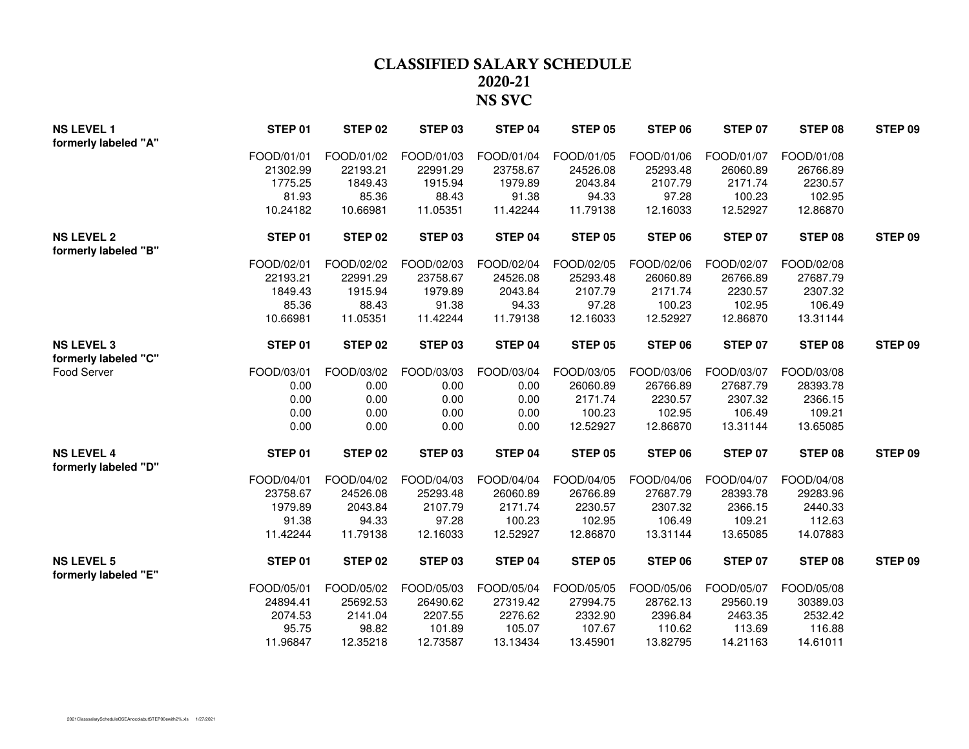## **CLASSIFIED SALARY SCHEDULE 2020-21NS SVC**

| <b>NS LEVEL 1</b><br>formerly labeled "A" | STEP 01    | STEP 02    | STEP 03    | STEP 04    | <b>STEP 05</b> | STEP 06    | <b>STEP 07</b> | STEP 08    | STEP 09 |
|-------------------------------------------|------------|------------|------------|------------|----------------|------------|----------------|------------|---------|
|                                           | FOOD/01/01 | FOOD/01/02 | FOOD/01/03 | FOOD/01/04 | FOOD/01/05     | FOOD/01/06 | FOOD/01/07     | FOOD/01/08 |         |
|                                           | 21302.99   | 22193.21   | 22991.29   | 23758.67   | 24526.08       | 25293.48   | 26060.89       | 26766.89   |         |
|                                           | 1775.25    | 1849.43    | 1915.94    | 1979.89    | 2043.84        | 2107.79    | 2171.74        | 2230.57    |         |
|                                           | 81.93      | 85.36      | 88.43      | 91.38      | 94.33          | 97.28      | 100.23         | 102.95     |         |
|                                           | 10.24182   | 10.66981   | 11.05351   | 11.42244   | 11.79138       | 12.16033   | 12.52927       | 12.86870   |         |
| <b>NS LEVEL 2</b><br>formerly labeled "B" | STEP 01    | STEP 02    | STEP 03    | STEP 04    | <b>STEP 05</b> | STEP 06    | <b>STEP 07</b> | STEP 08    | STEP 09 |
|                                           | FOOD/02/01 | FOOD/02/02 | FOOD/02/03 | FOOD/02/04 | FOOD/02/05     | FOOD/02/06 | FOOD/02/07     | FOOD/02/08 |         |
|                                           | 22193.21   | 22991.29   | 23758.67   | 24526.08   | 25293.48       | 26060.89   | 26766.89       | 27687.79   |         |
|                                           | 1849.43    | 1915.94    | 1979.89    | 2043.84    | 2107.79        | 2171.74    | 2230.57        | 2307.32    |         |
|                                           | 85.36      | 88.43      | 91.38      | 94.33      | 97.28          | 100.23     | 102.95         | 106.49     |         |
|                                           | 10.66981   | 11.05351   | 11.42244   | 11.79138   | 12.16033       | 12.52927   | 12.86870       | 13.31144   |         |
| <b>NS LEVEL 3</b>                         | STEP 01    | STEP 02    | STEP 03    | STEP 04    | <b>STEP 05</b> | STEP 06    | <b>STEP 07</b> | STEP 08    | STEP 09 |
| formerly labeled "C"                      |            |            |            |            |                |            |                |            |         |
| Food Server                               | FOOD/03/01 | FOOD/03/02 | FOOD/03/03 | FOOD/03/04 | FOOD/03/05     | FOOD/03/06 | FOOD/03/07     | FOOD/03/08 |         |
|                                           | 0.00       | 0.00       | 0.00       | 0.00       | 26060.89       | 26766.89   | 27687.79       | 28393.78   |         |
|                                           | 0.00       | 0.00       | 0.00       | 0.00       | 2171.74        | 2230.57    | 2307.32        | 2366.15    |         |
|                                           | 0.00       | 0.00       | 0.00       | 0.00       | 100.23         | 102.95     | 106.49         | 109.21     |         |
|                                           | 0.00       | 0.00       | 0.00       | 0.00       | 12.52927       | 12.86870   | 13.31144       | 13.65085   |         |
| <b>NS LEVEL 4</b><br>formerly labeled "D" | STEP 01    | STEP 02    | STEP 03    | STEP 04    | STEP 05        | STEP 06    | STEP 07        | STEP 08    | STEP 09 |
|                                           | FOOD/04/01 | FOOD/04/02 | FOOD/04/03 | FOOD/04/04 | FOOD/04/05     | FOOD/04/06 | FOOD/04/07     | FOOD/04/08 |         |
|                                           | 23758.67   | 24526.08   | 25293.48   | 26060.89   | 26766.89       | 27687.79   | 28393.78       | 29283.96   |         |
|                                           | 1979.89    | 2043.84    | 2107.79    | 2171.74    | 2230.57        | 2307.32    | 2366.15        | 2440.33    |         |
|                                           | 91.38      | 94.33      | 97.28      | 100.23     | 102.95         | 106.49     | 109.21         | 112.63     |         |
|                                           | 11.42244   | 11.79138   | 12.16033   | 12.52927   | 12.86870       | 13.31144   | 13.65085       | 14.07883   |         |
| <b>NS LEVEL 5</b><br>formerly labeled "E" | STEP 01    | STEP 02    | STEP 03    | STEP 04    | STEP 05        | STEP 06    | STEP 07        | STEP 08    | STEP 09 |
|                                           | FOOD/05/01 | FOOD/05/02 | FOOD/05/03 | FOOD/05/04 | FOOD/05/05     | FOOD/05/06 | FOOD/05/07     | FOOD/05/08 |         |
|                                           | 24894.41   | 25692.53   | 26490.62   | 27319.42   | 27994.75       | 28762.13   | 29560.19       | 30389.03   |         |
|                                           | 2074.53    | 2141.04    | 2207.55    | 2276.62    | 2332.90        | 2396.84    | 2463.35        | 2532.42    |         |
|                                           | 95.75      | 98.82      | 101.89     | 105.07     | 107.67         | 110.62     | 113.69         | 116.88     |         |
|                                           | 11.96847   | 12.35218   | 12.73587   | 13.13434   | 13.45901       | 13.82795   | 14.21163       | 14.61011   |         |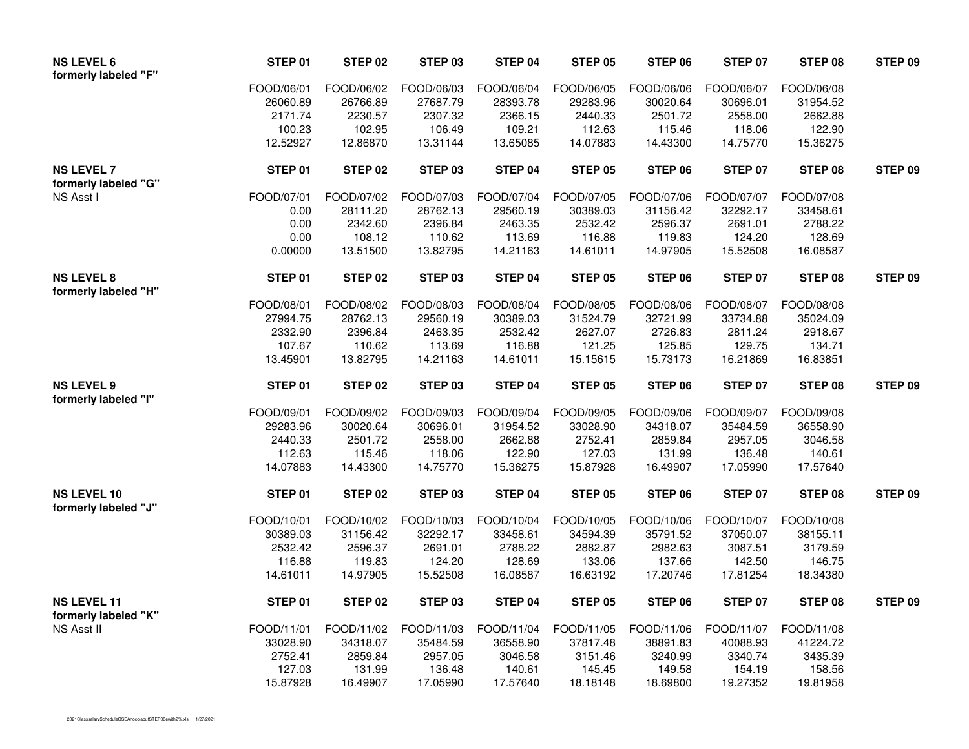| <b>NS LEVEL 6</b><br>formerly labeled "F"  | STEP 01    | STEP 02    | STEP 03    | STEP 04    | <b>STEP 05</b> | STEP 06    | STEP 07        | STEP 08    | STEP 09        |
|--------------------------------------------|------------|------------|------------|------------|----------------|------------|----------------|------------|----------------|
|                                            | FOOD/06/01 | FOOD/06/02 | FOOD/06/03 | FOOD/06/04 | FOOD/06/05     | FOOD/06/06 | FOOD/06/07     | FOOD/06/08 |                |
|                                            | 26060.89   | 26766.89   | 27687.79   | 28393.78   | 29283.96       | 30020.64   | 30696.01       | 31954.52   |                |
|                                            | 2171.74    | 2230.57    | 2307.32    | 2366.15    | 2440.33        | 2501.72    | 2558.00        | 2662.88    |                |
|                                            | 100.23     | 102.95     | 106.49     | 109.21     | 112.63         | 115.46     | 118.06         | 122.90     |                |
|                                            | 12.52927   | 12.86870   | 13.31144   | 13.65085   | 14.07883       | 14.43300   | 14.75770       | 15.36275   |                |
| <b>NS LEVEL 7</b><br>formerly labeled "G"  | STEP 01    | STEP 02    | STEP 03    | STEP 04    | <b>STEP 05</b> | STEP 06    | <b>STEP 07</b> | STEP 08    | STEP 09        |
| NS Asst I                                  | FOOD/07/01 | FOOD/07/02 | FOOD/07/03 | FOOD/07/04 | FOOD/07/05     | FOOD/07/06 | FOOD/07/07     | FOOD/07/08 |                |
|                                            | 0.00       | 28111.20   | 28762.13   | 29560.19   | 30389.03       | 31156.42   | 32292.17       | 33458.61   |                |
|                                            | 0.00       | 2342.60    | 2396.84    | 2463.35    | 2532.42        | 2596.37    | 2691.01        | 2788.22    |                |
|                                            | 0.00       | 108.12     | 110.62     | 113.69     | 116.88         | 119.83     | 124.20         | 128.69     |                |
|                                            | 0.00000    | 13.51500   | 13.82795   | 14.21163   | 14.61011       | 14.97905   | 15.52508       | 16.08587   |                |
| <b>NS LEVEL 8</b><br>formerly labeled "H"  | STEP 01    | STEP 02    | STEP 03    | STEP 04    | <b>STEP 05</b> | STEP 06    | <b>STEP 07</b> | STEP 08    | <b>STEP 09</b> |
|                                            | FOOD/08/01 | FOOD/08/02 | FOOD/08/03 | FOOD/08/04 | FOOD/08/05     | FOOD/08/06 | FOOD/08/07     | FOOD/08/08 |                |
|                                            | 27994.75   | 28762.13   | 29560.19   | 30389.03   | 31524.79       | 32721.99   | 33734.88       | 35024.09   |                |
|                                            | 2332.90    | 2396.84    | 2463.35    | 2532.42    | 2627.07        | 2726.83    | 2811.24        | 2918.67    |                |
|                                            | 107.67     | 110.62     | 113.69     | 116.88     | 121.25         | 125.85     | 129.75         | 134.71     |                |
|                                            | 13.45901   | 13.82795   | 14.21163   | 14.61011   | 15.15615       | 15.73173   | 16.21869       | 16.83851   |                |
| <b>NS LEVEL 9</b><br>formerly labeled "I"  | STEP 01    | STEP 02    | STEP 03    | STEP 04    | <b>STEP 05</b> | STEP 06    | <b>STEP 07</b> | STEP 08    | STEP 09        |
|                                            | FOOD/09/01 | FOOD/09/02 | FOOD/09/03 | FOOD/09/04 | FOOD/09/05     | FOOD/09/06 | FOOD/09/07     | FOOD/09/08 |                |
|                                            | 29283.96   | 30020.64   | 30696.01   | 31954.52   | 33028.90       | 34318.07   | 35484.59       | 36558.90   |                |
|                                            | 2440.33    | 2501.72    | 2558.00    | 2662.88    | 2752.41        | 2859.84    | 2957.05        | 3046.58    |                |
|                                            | 112.63     | 115.46     | 118.06     | 122.90     | 127.03         | 131.99     | 136.48         | 140.61     |                |
|                                            | 14.07883   | 14.43300   | 14.75770   | 15.36275   | 15.87928       | 16.49907   | 17.05990       | 17.57640   |                |
| <b>NS LEVEL 10</b><br>formerly labeled "J" | STEP 01    | STEP 02    | STEP 03    | STEP 04    | <b>STEP 05</b> | STEP 06    | STEP 07        | STEP 08    | STEP 09        |
|                                            | FOOD/10/01 | FOOD/10/02 | FOOD/10/03 | FOOD/10/04 | FOOD/10/05     | FOOD/10/06 | FOOD/10/07     | FOOD/10/08 |                |
|                                            | 30389.03   | 31156.42   | 32292.17   | 33458.61   | 34594.39       | 35791.52   | 37050.07       | 38155.11   |                |
|                                            | 2532.42    | 2596.37    | 2691.01    | 2788.22    | 2882.87        | 2982.63    | 3087.51        | 3179.59    |                |
|                                            | 116.88     | 119.83     | 124.20     | 128.69     | 133.06         | 137.66     | 142.50         | 146.75     |                |
|                                            | 14.61011   | 14.97905   | 15.52508   | 16.08587   | 16.63192       | 17.20746   | 17.81254       | 18.34380   |                |
| <b>NS LEVEL 11</b><br>formerly labeled "K" | STEP 01    | STEP 02    | STEP 03    | STEP 04    | <b>STEP 05</b> | STEP 06    | <b>STEP 07</b> | STEP 08    | STEP 09        |
| NS Asst II                                 | FOOD/11/01 | FOOD/11/02 | FOOD/11/03 | FOOD/11/04 | FOOD/11/05     | FOOD/11/06 | FOOD/11/07     | FOOD/11/08 |                |
|                                            | 33028.90   | 34318.07   | 35484.59   | 36558.90   | 37817.48       | 38891.83   | 40088.93       | 41224.72   |                |
|                                            | 2752.41    | 2859.84    | 2957.05    | 3046.58    | 3151.46        | 3240.99    | 3340.74        | 3435.39    |                |
|                                            | 127.03     | 131.99     | 136.48     | 140.61     | 145.45         | 149.58     | 154.19         | 158.56     |                |
|                                            | 15.87928   | 16.49907   | 17.05990   | 17.57640   | 18.18148       | 18.69800   | 19.27352       | 19.81958   |                |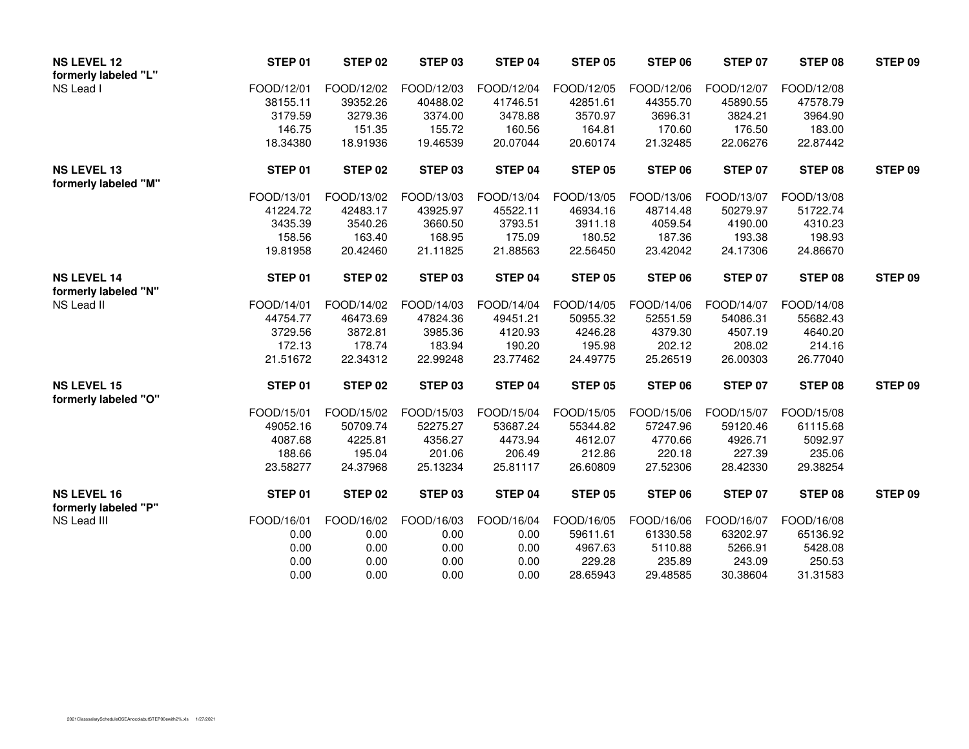| <b>NS LEVEL 12</b><br>STEP 01                         | STEP 02    | STEP 03    | STEP 04    | <b>STEP 05</b> | STEP 06    | STEP 07        | STEP 08    | STEP 09 |
|-------------------------------------------------------|------------|------------|------------|----------------|------------|----------------|------------|---------|
| formerly labeled "L"                                  |            |            |            |                |            |                |            |         |
| NS Lead I<br>FOOD/12/01                               | FOOD/12/02 | FOOD/12/03 | FOOD/12/04 | FOOD/12/05     | FOOD/12/06 | FOOD/12/07     | FOOD/12/08 |         |
| 38155.11                                              | 39352.26   | 40488.02   | 41746.51   | 42851.61       | 44355.70   | 45890.55       | 47578.79   |         |
| 3179.59                                               | 3279.36    | 3374.00    | 3478.88    | 3570.97        | 3696.31    | 3824.21        | 3964.90    |         |
| 146.75                                                | 151.35     | 155.72     | 160.56     | 164.81         | 170.60     | 176.50         | 183.00     |         |
| 18.34380                                              | 18.91936   | 19.46539   | 20.07044   | 20.60174       | 21.32485   | 22.06276       | 22.87442   |         |
| <b>NS LEVEL 13</b><br>STEP 01                         | STEP 02    | STEP 03    | STEP 04    | STEP 05        | STEP 06    | <b>STEP 07</b> | STEP 08    | STEP 09 |
| formerly labeled "M"                                  |            |            |            |                |            |                |            |         |
| FOOD/13/01                                            | FOOD/13/02 | FOOD/13/03 | FOOD/13/04 | FOOD/13/05     | FOOD/13/06 | FOOD/13/07     | FOOD/13/08 |         |
| 41224.72                                              | 42483.17   | 43925.97   | 45522.11   | 46934.16       | 48714.48   | 50279.97       | 51722.74   |         |
| 3435.39                                               | 3540.26    | 3660.50    | 3793.51    | 3911.18        | 4059.54    | 4190.00        | 4310.23    |         |
| 158.56                                                | 163.40     | 168.95     | 175.09     | 180.52         | 187.36     | 193.38         | 198.93     |         |
| 19.81958                                              | 20.42460   | 21.11825   | 21.88563   | 22.56450       | 23.42042   | 24.17306       | 24.86670   |         |
| <b>NS LEVEL 14</b><br>STEP 01                         | STEP 02    | STEP 03    | STEP 04    | STEP 05        | STEP 06    | <b>STEP 07</b> | STEP 08    | STEP 09 |
| formerly labeled "N"                                  |            |            |            |                |            |                |            |         |
| NS Lead II<br>FOOD/14/01                              | FOOD/14/02 | FOOD/14/03 | FOOD/14/04 | FOOD/14/05     | FOOD/14/06 | FOOD/14/07     | FOOD/14/08 |         |
| 44754.77                                              | 46473.69   | 47824.36   | 49451.21   | 50955.32       | 52551.59   | 54086.31       | 55682.43   |         |
| 3729.56                                               | 3872.81    | 3985.36    | 4120.93    | 4246.28        | 4379.30    | 4507.19        | 4640.20    |         |
| 172.13                                                | 178.74     | 183.94     | 190.20     | 195.98         | 202.12     | 208.02         | 214.16     |         |
| 21.51672                                              | 22.34312   | 22.99248   | 23.77462   | 24.49775       | 25.26519   | 26.00303       | 26.77040   |         |
| <b>NS LEVEL 15</b><br>STEP 01                         | STEP 02    | STEP 03    | STEP 04    | STEP 05        | STEP 06    | STEP 07        | STEP 08    | STEP 09 |
| formerly labeled "O"                                  |            |            |            |                |            |                |            |         |
| FOOD/15/01                                            | FOOD/15/02 | FOOD/15/03 | FOOD/15/04 | FOOD/15/05     | FOOD/15/06 | FOOD/15/07     | FOOD/15/08 |         |
| 49052.16                                              | 50709.74   | 52275.27   | 53687.24   | 55344.82       | 57247.96   | 59120.46       | 61115.68   |         |
| 4087.68                                               | 4225.81    | 4356.27    | 4473.94    | 4612.07        | 4770.66    | 4926.71        | 5092.97    |         |
| 188.66                                                | 195.04     | 201.06     | 206.49     | 212.86         | 220.18     | 227.39         | 235.06     |         |
| 23.58277                                              | 24.37968   | 25.13234   | 25.81117   | 26.60809       | 27.52306   | 28.42330       | 29.38254   |         |
| <b>NS LEVEL 16</b><br>STEP 01<br>formerly labeled "P" | STEP 02    | STEP 03    | STEP 04    | <b>STEP 05</b> | STEP 06    | <b>STEP 07</b> | STEP 08    | STEP 09 |
| FOOD/16/01<br>NS Lead III                             | FOOD/16/02 | FOOD/16/03 | FOOD/16/04 | FOOD/16/05     | FOOD/16/06 | FOOD/16/07     | FOOD/16/08 |         |
| 0.00                                                  | 0.00       | 0.00       | 0.00       | 59611.61       | 61330.58   | 63202.97       | 65136.92   |         |
| 0.00                                                  | 0.00       | 0.00       | 0.00       | 4967.63        | 5110.88    | 5266.91        | 5428.08    |         |
| 0.00                                                  | 0.00       | 0.00       | 0.00       | 229.28         | 235.89     | 243.09         | 250.53     |         |
| 0.00                                                  | 0.00       | 0.00       | 0.00       | 28.65943       | 29.48585   | 30.38604       | 31.31583   |         |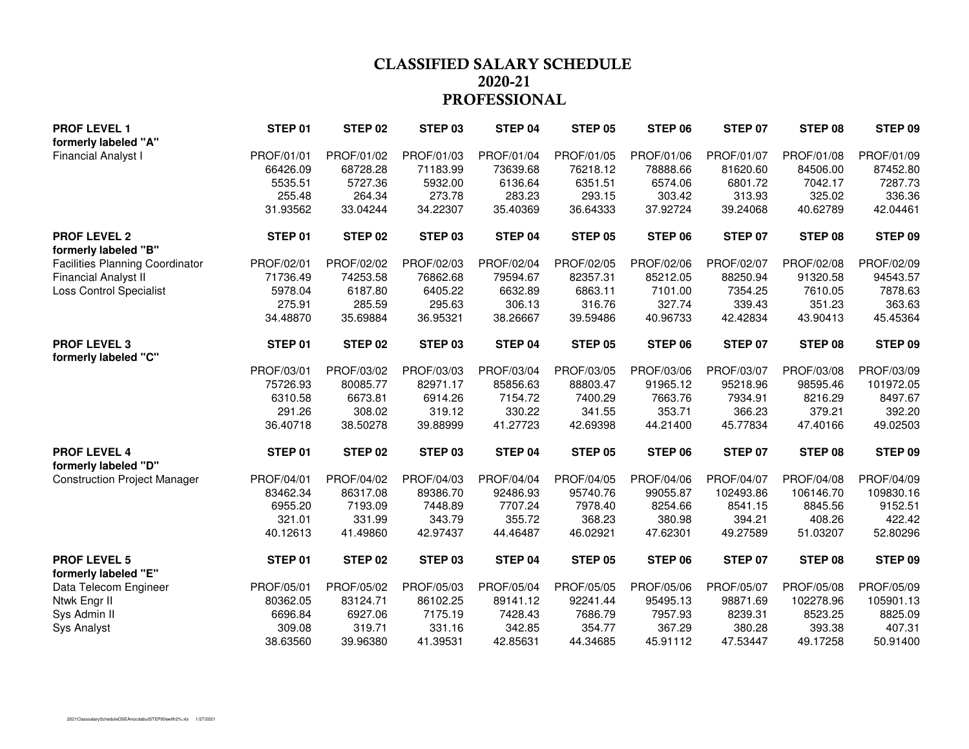### **CLASSIFIED SALARY SCHEDULE 2020-21PROFESSIONAL**

| <b>PROF LEVEL 1</b>                         | STEP 01    | STEP <sub>02</sub> | STEP <sub>03</sub> | STEP 04    | STEP 05        | STEP 06    | <b>STEP 07</b> | STEP 08    | STEP 09    |
|---------------------------------------------|------------|--------------------|--------------------|------------|----------------|------------|----------------|------------|------------|
| formerly labeled "A"                        |            |                    |                    |            |                |            |                |            |            |
| <b>Financial Analyst I</b>                  | PROF/01/01 | PROF/01/02         | PROF/01/03         | PROF/01/04 | PROF/01/05     | PROF/01/06 | PROF/01/07     | PROF/01/08 | PROF/01/09 |
|                                             | 66426.09   | 68728.28           | 71183.99           | 73639.68   | 76218.12       | 78888.66   | 81620.60       | 84506.00   | 87452.80   |
|                                             | 5535.51    | 5727.36            | 5932.00            | 6136.64    | 6351.51        | 6574.06    | 6801.72        | 7042.17    | 7287.73    |
|                                             | 255.48     | 264.34             | 273.78             | 283.23     | 293.15         | 303.42     | 313.93         | 325.02     | 336.36     |
|                                             | 31.93562   | 33.04244           | 34.22307           | 35.40369   | 36.64333       | 37.92724   | 39.24068       | 40.62789   | 42.04461   |
| <b>PROF LEVEL 2</b><br>formerly labeled "B" | STEP 01    | STEP 02            | STEP 03            | STEP 04    | <b>STEP 05</b> | STEP 06    | STEP 07        | STEP 08    | STEP 09    |
| <b>Facilities Planning Coordinator</b>      | PROF/02/01 | PROF/02/02         | PROF/02/03         | PROF/02/04 | PROF/02/05     | PROF/02/06 | PROF/02/07     | PROF/02/08 | PROF/02/09 |
| <b>Financial Analyst II</b>                 | 71736.49   | 74253.58           | 76862.68           | 79594.67   | 82357.31       | 85212.05   | 88250.94       | 91320.58   | 94543.57   |
| <b>Loss Control Specialist</b>              | 5978.04    | 6187.80            | 6405.22            | 6632.89    | 6863.11        | 7101.00    | 7354.25        | 7610.05    | 7878.63    |
|                                             | 275.91     | 285.59             | 295.63             | 306.13     | 316.76         | 327.74     | 339.43         | 351.23     | 363.63     |
|                                             | 34.48870   | 35.69884           | 36.95321           | 38.26667   | 39.59486       | 40.96733   | 42.42834       | 43.90413   | 45.45364   |
| <b>PROF LEVEL 3</b><br>formerly labeled "C" | STEP 01    | STEP 02            | STEP 03            | STEP 04    | <b>STEP 05</b> | STEP 06    | <b>STEP 07</b> | STEP 08    | STEP 09    |
|                                             | PROF/03/01 | PROF/03/02         | PROF/03/03         | PROF/03/04 | PROF/03/05     | PROF/03/06 | PROF/03/07     | PROF/03/08 | PROF/03/09 |
|                                             | 75726.93   | 80085.77           | 82971.17           | 85856.63   | 88803.47       | 91965.12   | 95218.96       | 98595.46   | 101972.05  |
|                                             | 6310.58    | 6673.81            | 6914.26            | 7154.72    | 7400.29        | 7663.76    | 7934.91        | 8216.29    | 8497.67    |
|                                             | 291.26     | 308.02             | 319.12             | 330.22     | 341.55         | 353.71     | 366.23         | 379.21     | 392.20     |
|                                             | 36.40718   | 38.50278           | 39.88999           | 41.27723   | 42.69398       | 44.21400   | 45.77834       | 47.40166   | 49.02503   |
| <b>PROF LEVEL 4</b><br>formerly labeled "D" | STEP 01    | STEP 02            | STEP 03            | STEP 04    | STEP 05        | STEP 06    | STEP 07        | STEP 08    | STEP 09    |
| <b>Construction Project Manager</b>         | PROF/04/01 | PROF/04/02         | PROF/04/03         | PROF/04/04 | PROF/04/05     | PROF/04/06 | PROF/04/07     | PROF/04/08 | PROF/04/09 |
|                                             | 83462.34   | 86317.08           | 89386.70           | 92486.93   | 95740.76       | 99055.87   | 102493.86      | 106146.70  | 109830.16  |
|                                             | 6955.20    | 7193.09            | 7448.89            | 7707.24    | 7978.40        | 8254.66    | 8541.15        | 8845.56    | 9152.51    |
|                                             | 321.01     | 331.99             | 343.79             | 355.72     | 368.23         | 380.98     | 394.21         | 408.26     | 422.42     |
|                                             | 40.12613   | 41.49860           | 42.97437           | 44.46487   | 46.02921       | 47.62301   | 49.27589       | 51.03207   | 52.80296   |
| <b>PROF LEVEL 5</b><br>formerly labeled "E" | STEP 01    | STEP 02            | STEP 03            | STEP 04    | STEP 05        | STEP 06    | <b>STEP 07</b> | STEP 08    | STEP 09    |
| Data Telecom Engineer                       | PROF/05/01 | PROF/05/02         | PROF/05/03         | PROF/05/04 | PROF/05/05     | PROF/05/06 | PROF/05/07     | PROF/05/08 | PROF/05/09 |
| Ntwk Engr II                                | 80362.05   | 83124.71           | 86102.25           | 89141.12   | 92241.44       | 95495.13   | 98871.69       | 102278.96  | 105901.13  |
| Sys Admin II                                | 6696.84    | 6927.06            | 7175.19            | 7428.43    | 7686.79        | 7957.93    | 8239.31        | 8523.25    | 8825.09    |
| Sys Analyst                                 | 309.08     | 319.71             | 331.16             | 342.85     | 354.77         | 367.29     | 380.28         | 393.38     | 407.31     |
|                                             | 38.63560   | 39.96380           | 41.39531           | 42.85631   | 44.34685       | 45.91112   | 47.53447       | 49.17258   | 50.91400   |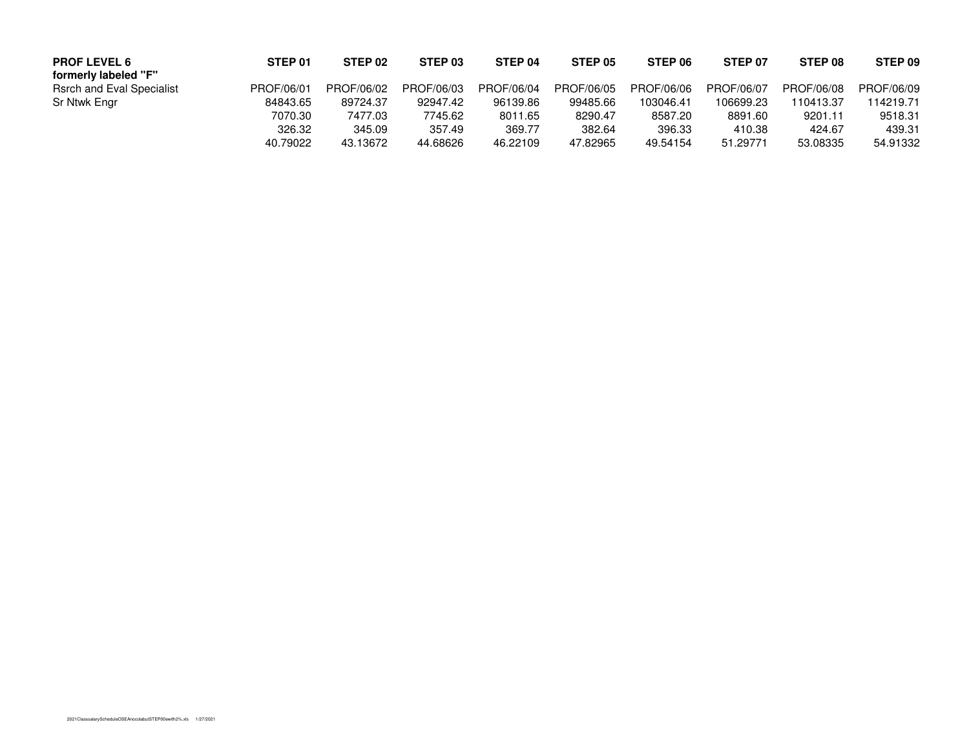| <b>PROF LEVEL 6</b><br>formerly labeled "F" | STEP 01    | STEP 02    | STEP <sub>03</sub> | STEP 04    | STEP 05    | STEP 06    | STEP 07    | STEP 08    | STEP 09    |
|---------------------------------------------|------------|------------|--------------------|------------|------------|------------|------------|------------|------------|
| <b>Rsrch and Eval Specialist</b>            | PROF/06/01 | PROF/06/02 | PROF/06/03         | PROF/06/04 | PROF/06/05 | PROF/06/06 | PROF/06/07 | PROF/06/08 | PROF/06/09 |
| Sr Ntwk Engr                                | 84843.65   | 89724.37   | 92947.42           | 96139.86   | 99485.66   | 103046.41  | 106699.23  | 110413.37  | 114219.71  |
|                                             | 7070.30    | 7477.03    | 7745.62            | 8011.65    | 8290.47    | 8587.20    | 8891.60    | 9201.11    | 9518.31    |
|                                             | 326.32     | 345.09     | 357.49             | 369.77     | 382.64     | 396.33     | 410.38     | 424.67     | 439.31     |
|                                             | 40.79022   | 43.13672   | 44.68626           | 46.22109   | 47.82965   | 49.54154   | 51.29771   | 53.08335   | 54.91332   |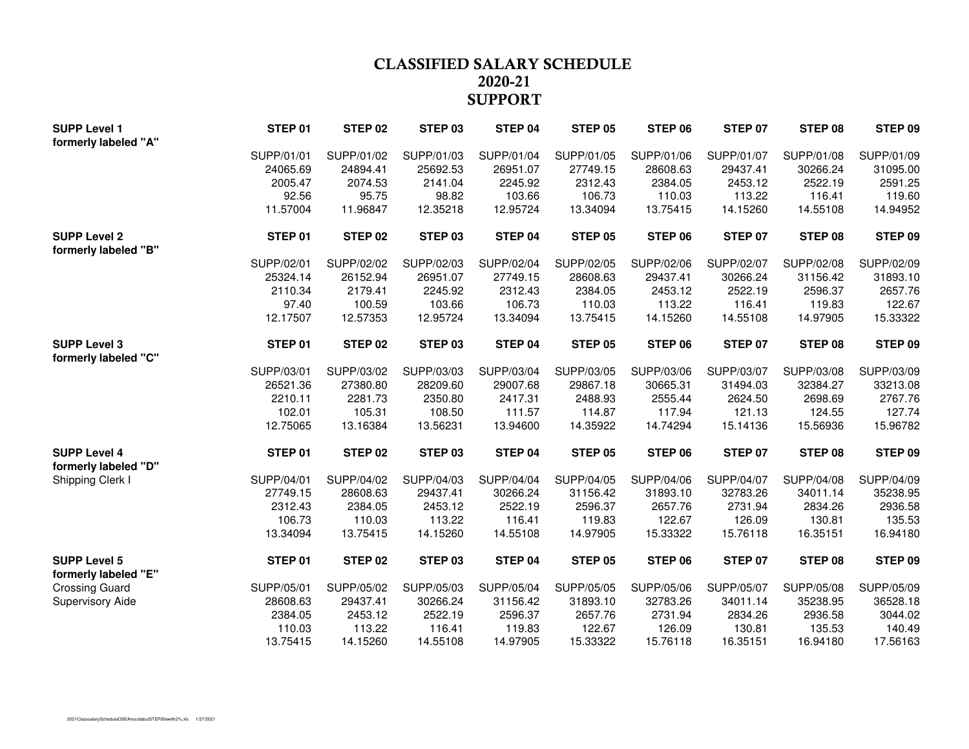### **CLASSIFIED SALARY SCHEDULE 2020-21SUPPORT**

| <b>SUPP Level 1</b>   | STEP 01    | STEP 02    | STEP <sub>03</sub> | STEP 04    | STEP 05    | STEP 06    | STEP 07        | STEP 08    | STEP 09    |
|-----------------------|------------|------------|--------------------|------------|------------|------------|----------------|------------|------------|
| formerly labeled "A"  |            |            |                    |            |            |            |                |            |            |
|                       | SUPP/01/01 | SUPP/01/02 | SUPP/01/03         | SUPP/01/04 | SUPP/01/05 | SUPP/01/06 | SUPP/01/07     | SUPP/01/08 | SUPP/01/09 |
|                       | 24065.69   | 24894.41   | 25692.53           | 26951.07   | 27749.15   | 28608.63   | 29437.41       | 30266.24   | 31095.00   |
|                       | 2005.47    | 2074.53    | 2141.04            | 2245.92    | 2312.43    | 2384.05    | 2453.12        | 2522.19    | 2591.25    |
|                       | 92.56      | 95.75      | 98.82              | 103.66     | 106.73     | 110.03     | 113.22         | 116.41     | 119.60     |
|                       | 11.57004   | 11.96847   | 12.35218           | 12.95724   | 13.34094   | 13.75415   | 14.15260       | 14.55108   | 14.94952   |
| <b>SUPP Level 2</b>   | STEP 01    | STEP 02    | STEP 03            | STEP 04    | STEP 05    | STEP 06    | <b>STEP 07</b> | STEP 08    | STEP 09    |
| formerly labeled "B"  |            |            |                    |            |            |            |                |            |            |
|                       | SUPP/02/01 | SUPP/02/02 | SUPP/02/03         | SUPP/02/04 | SUPP/02/05 | SUPP/02/06 | SUPP/02/07     | SUPP/02/08 | SUPP/02/09 |
|                       | 25324.14   | 26152.94   | 26951.07           | 27749.15   | 28608.63   | 29437.41   | 30266.24       | 31156.42   | 31893.10   |
|                       | 2110.34    | 2179.41    | 2245.92            | 2312.43    | 2384.05    | 2453.12    | 2522.19        | 2596.37    | 2657.76    |
|                       | 97.40      | 100.59     | 103.66             | 106.73     | 110.03     | 113.22     | 116.41         | 119.83     | 122.67     |
|                       | 12.17507   | 12.57353   | 12.95724           | 13.34094   | 13.75415   | 14.15260   | 14.55108       | 14.97905   | 15.33322   |
| <b>SUPP Level 3</b>   | STEP 01    | STEP 02    | STEP 03            | STEP 04    | STEP 05    | STEP 06    | <b>STEP 07</b> | STEP 08    | STEP 09    |
| formerly labeled "C"  |            |            |                    |            |            |            |                |            |            |
|                       | SUPP/03/01 | SUPP/03/02 | SUPP/03/03         | SUPP/03/04 | SUPP/03/05 | SUPP/03/06 | SUPP/03/07     | SUPP/03/08 | SUPP/03/09 |
|                       | 26521.36   | 27380.80   | 28209.60           | 29007.68   | 29867.18   | 30665.31   | 31494.03       | 32384.27   | 33213.08   |
|                       | 2210.11    | 2281.73    | 2350.80            | 2417.31    | 2488.93    | 2555.44    | 2624.50        | 2698.69    | 2767.76    |
|                       | 102.01     | 105.31     | 108.50             | 111.57     | 114.87     | 117.94     | 121.13         | 124.55     | 127.74     |
|                       | 12.75065   | 13.16384   | 13.56231           | 13.94600   | 14.35922   | 14.74294   | 15.14136       | 15.56936   | 15.96782   |
| <b>SUPP Level 4</b>   | STEP 01    | STEP 02    | STEP 03            | STEP 04    | STEP 05    | STEP 06    | STEP 07        | STEP 08    | STEP 09    |
| formerly labeled "D"  |            |            |                    |            |            |            |                |            |            |
| Shipping Clerk I      | SUPP/04/01 | SUPP/04/02 | SUPP/04/03         | SUPP/04/04 | SUPP/04/05 | SUPP/04/06 | SUPP/04/07     | SUPP/04/08 | SUPP/04/09 |
|                       | 27749.15   | 28608.63   | 29437.41           | 30266.24   | 31156.42   | 31893.10   | 32783.26       | 34011.14   | 35238.95   |
|                       | 2312.43    | 2384.05    | 2453.12            | 2522.19    | 2596.37    | 2657.76    | 2731.94        | 2834.26    | 2936.58    |
|                       | 106.73     | 110.03     | 113.22             | 116.41     | 119.83     | 122.67     | 126.09         | 130.81     | 135.53     |
|                       | 13.34094   | 13.75415   | 14.15260           | 14.55108   | 14.97905   | 15.33322   | 15.76118       | 16.35151   | 16.94180   |
| <b>SUPP Level 5</b>   | STEP 01    | STEP 02    | STEP <sub>03</sub> | STEP 04    | STEP 05    | STEP 06    | STEP 07        | STEP 08    | STEP 09    |
| formerly labeled "E"  |            |            |                    |            |            |            |                |            |            |
| <b>Crossing Guard</b> | SUPP/05/01 | SUPP/05/02 | SUPP/05/03         | SUPP/05/04 | SUPP/05/05 | SUPP/05/06 | SUPP/05/07     | SUPP/05/08 | SUPP/05/09 |
| Supervisory Aide      | 28608.63   | 29437.41   | 30266.24           | 31156.42   | 31893.10   | 32783.26   | 34011.14       | 35238.95   | 36528.18   |
|                       | 2384.05    | 2453.12    | 2522.19            | 2596.37    | 2657.76    | 2731.94    | 2834.26        | 2936.58    | 3044.02    |
|                       | 110.03     | 113.22     | 116.41             | 119.83     | 122.67     | 126.09     | 130.81         | 135.53     | 140.49     |
|                       | 13.75415   | 14.15260   | 14.55108           | 14.97905   | 15.33322   | 15.76118   | 16.35151       | 16.94180   | 17.56163   |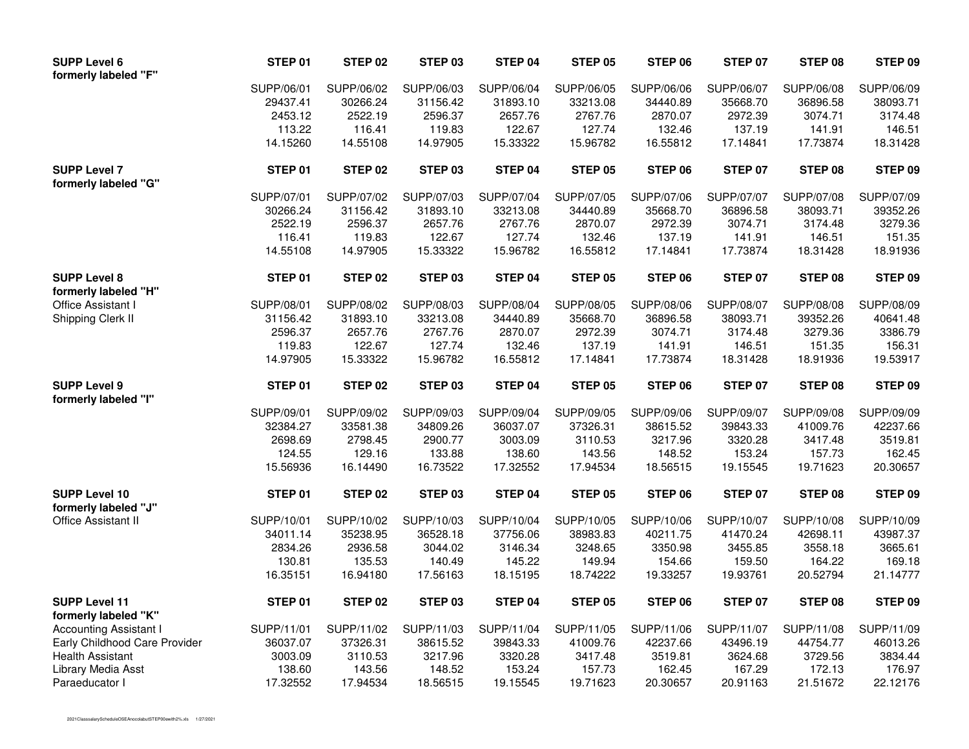| <b>SUPP Level 6</b><br>formerly labeled "F"  | STEP 01    | STEP 02    | STEP 03    | STEP 04    | <b>STEP 05</b> | STEP 06    | <b>STEP 07</b> | STEP 08    | STEP 09        |
|----------------------------------------------|------------|------------|------------|------------|----------------|------------|----------------|------------|----------------|
|                                              | SUPP/06/01 | SUPP/06/02 | SUPP/06/03 | SUPP/06/04 | SUPP/06/05     | SUPP/06/06 | SUPP/06/07     | SUPP/06/08 | SUPP/06/09     |
|                                              | 29437.41   | 30266.24   | 31156.42   | 31893.10   | 33213.08       | 34440.89   | 35668.70       | 36896.58   | 38093.71       |
|                                              | 2453.12    | 2522.19    | 2596.37    | 2657.76    | 2767.76        | 2870.07    | 2972.39        | 3074.71    | 3174.48        |
|                                              | 113.22     | 116.41     | 119.83     | 122.67     | 127.74         | 132.46     | 137.19         | 141.91     | 146.51         |
|                                              | 14.15260   | 14.55108   | 14.97905   | 15.33322   | 15.96782       | 16.55812   | 17.14841       | 17.73874   | 18.31428       |
| <b>SUPP Level 7</b><br>formerly labeled "G"  | STEP 01    | STEP 02    | STEP 03    | STEP 04    | STEP 05        | STEP 06    | <b>STEP 07</b> | STEP 08    | STEP 09        |
|                                              | SUPP/07/01 | SUPP/07/02 | SUPP/07/03 | SUPP/07/04 | SUPP/07/05     | SUPP/07/06 | SUPP/07/07     | SUPP/07/08 | SUPP/07/09     |
|                                              | 30266.24   | 31156.42   | 31893.10   | 33213.08   | 34440.89       | 35668.70   | 36896.58       | 38093.71   | 39352.26       |
|                                              | 2522.19    | 2596.37    | 2657.76    | 2767.76    | 2870.07        | 2972.39    | 3074.71        | 3174.48    | 3279.36        |
|                                              | 116.41     | 119.83     | 122.67     | 127.74     | 132.46         | 137.19     | 141.91         | 146.51     | 151.35         |
|                                              | 14.55108   | 14.97905   | 15.33322   | 15.96782   | 16.55812       | 17.14841   | 17.73874       | 18.31428   | 18.91936       |
| <b>SUPP Level 8</b><br>formerly labeled "H"  | STEP 01    | STEP 02    | STEP 03    | STEP 04    | STEP 05        | STEP 06    | <b>STEP 07</b> | STEP 08    | STEP 09        |
| Office Assistant I                           | SUPP/08/01 | SUPP/08/02 | SUPP/08/03 | SUPP/08/04 | SUPP/08/05     | SUPP/08/06 | SUPP/08/07     | SUPP/08/08 | SUPP/08/09     |
| Shipping Clerk II                            | 31156.42   | 31893.10   | 33213.08   | 34440.89   | 35668.70       | 36896.58   | 38093.71       | 39352.26   | 40641.48       |
|                                              | 2596.37    | 2657.76    | 2767.76    | 2870.07    | 2972.39        | 3074.71    | 3174.48        | 3279.36    | 3386.79        |
|                                              | 119.83     | 122.67     | 127.74     | 132.46     | 137.19         | 141.91     | 146.51         | 151.35     | 156.31         |
|                                              | 14.97905   | 15.33322   | 15.96782   | 16.55812   | 17.14841       | 17.73874   | 18.31428       | 18.91936   | 19.53917       |
| <b>SUPP Level 9</b><br>formerly labeled "I"  | STEP 01    | STEP 02    | STEP 03    | STEP 04    | STEP 05        | STEP 06    | STEP 07        | STEP 08    | STEP 09        |
|                                              | SUPP/09/01 | SUPP/09/02 | SUPP/09/03 | SUPP/09/04 | SUPP/09/05     | SUPP/09/06 | SUPP/09/07     | SUPP/09/08 | SUPP/09/09     |
|                                              | 32384.27   | 33581.38   | 34809.26   | 36037.07   | 37326.31       | 38615.52   | 39843.33       | 41009.76   | 42237.66       |
|                                              | 2698.69    | 2798.45    | 2900.77    | 3003.09    | 3110.53        | 3217.96    | 3320.28        | 3417.48    | 3519.81        |
|                                              | 124.55     | 129.16     | 133.88     | 138.60     | 143.56         | 148.52     | 153.24         | 157.73     | 162.45         |
|                                              | 15.56936   | 16.14490   | 16.73522   | 17.32552   | 17.94534       | 18.56515   | 19.15545       | 19.71623   | 20.30657       |
| <b>SUPP Level 10</b><br>formerly labeled "J" | STEP 01    | STEP 02    | STEP 03    | STEP 04    | STEP 05        | STEP 06    | <b>STEP 07</b> | STEP 08    | <b>STEP 09</b> |
| Office Assistant II                          | SUPP/10/01 | SUPP/10/02 | SUPP/10/03 | SUPP/10/04 | SUPP/10/05     | SUPP/10/06 | SUPP/10/07     | SUPP/10/08 | SUPP/10/09     |
|                                              | 34011.14   | 35238.95   | 36528.18   | 37756.06   | 38983.83       | 40211.75   | 41470.24       | 42698.11   | 43987.37       |
|                                              | 2834.26    | 2936.58    | 3044.02    | 3146.34    | 3248.65        | 3350.98    | 3455.85        | 3558.18    | 3665.61        |
|                                              | 130.81     | 135.53     | 140.49     | 145.22     | 149.94         | 154.66     | 159.50         | 164.22     | 169.18         |
|                                              | 16.35151   | 16.94180   | 17.56163   | 18.15195   | 18.74222       | 19.33257   | 19.93761       | 20.52794   | 21.14777       |
| <b>SUPP Level 11</b><br>formerly labeled "K" | STEP 01    | STEP 02    | STEP 03    | STEP 04    | STEP 05        | STEP 06    | STEP 07        | STEP 08    | STEP 09        |
| <b>Accounting Assistant I</b>                | SUPP/11/01 | SUPP/11/02 | SUPP/11/03 | SUPP/11/04 | SUPP/11/05     | SUPP/11/06 | SUPP/11/07     | SUPP/11/08 | SUPP/11/09     |
| Early Childhood Care Provider                | 36037.07   | 37326.31   | 38615.52   | 39843.33   | 41009.76       | 42237.66   | 43496.19       | 44754.77   | 46013.26       |
| <b>Health Assistant</b>                      | 3003.09    | 3110.53    | 3217.96    | 3320.28    | 3417.48        | 3519.81    | 3624.68        | 3729.56    | 3834.44        |
| Library Media Asst                           | 138.60     | 143.56     | 148.52     | 153.24     | 157.73         | 162.45     | 167.29         | 172.13     | 176.97         |
| Paraeducator I                               | 17.32552   | 17.94534   | 18.56515   | 19.15545   | 19.71623       | 20.30657   | 20.91163       | 21.51672   | 22.12176       |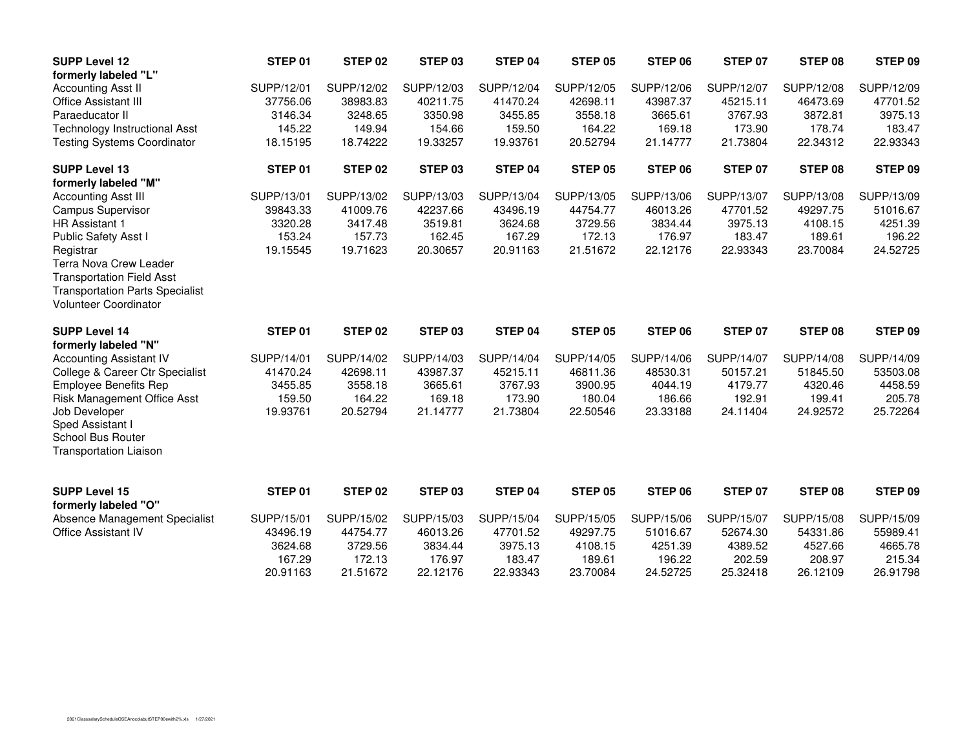| <b>SUPP Level 12</b>                                                                                                                       | STEP 01    | STEP <sub>02</sub> | STEP <sub>03</sub> | STEP 04    | <b>STEP 05</b> | STEP 06    | <b>STEP 07</b> | STEP 08    | STEP 09    |
|--------------------------------------------------------------------------------------------------------------------------------------------|------------|--------------------|--------------------|------------|----------------|------------|----------------|------------|------------|
| formerly labeled "L"                                                                                                                       |            |                    |                    |            |                |            |                |            |            |
| <b>Accounting Asst II</b>                                                                                                                  | SUPP/12/01 | SUPP/12/02         | SUPP/12/03         | SUPP/12/04 | SUPP/12/05     | SUPP/12/06 | SUPP/12/07     | SUPP/12/08 | SUPP/12/09 |
| <b>Office Assistant III</b>                                                                                                                | 37756.06   | 38983.83           | 40211.75           | 41470.24   | 42698.11       | 43987.37   | 45215.11       | 46473.69   | 47701.52   |
| Paraeducator II                                                                                                                            | 3146.34    | 3248.65            | 3350.98            | 3455.85    | 3558.18        | 3665.61    | 3767.93        | 3872.81    | 3975.13    |
| <b>Technology Instructional Asst</b>                                                                                                       | 145.22     | 149.94             | 154.66             | 159.50     | 164.22         | 169.18     | 173.90         | 178.74     | 183.47     |
| <b>Testing Systems Coordinator</b>                                                                                                         | 18.15195   | 18.74222           | 19.33257           | 19.93761   | 20.52794       | 21.14777   | 21.73804       | 22.34312   | 22.93343   |
| <b>SUPP Level 13</b>                                                                                                                       | STEP 01    | STEP <sub>02</sub> | STEP <sub>03</sub> | STEP 04    | <b>STEP 05</b> | STEP 06    | <b>STEP 07</b> | STEP 08    | STEP 09    |
| formerly labeled "M"                                                                                                                       |            |                    |                    |            |                |            |                |            |            |
| <b>Accounting Asst III</b>                                                                                                                 | SUPP/13/01 | SUPP/13/02         | SUPP/13/03         | SUPP/13/04 | SUPP/13/05     | SUPP/13/06 | SUPP/13/07     | SUPP/13/08 | SUPP/13/09 |
| <b>Campus Supervisor</b>                                                                                                                   | 39843.33   | 41009.76           | 42237.66           | 43496.19   | 44754.77       | 46013.26   | 47701.52       | 49297.75   | 51016.67   |
| <b>HR Assistant 1</b>                                                                                                                      | 3320.28    | 3417.48            | 3519.81            | 3624.68    | 3729.56        | 3834.44    | 3975.13        | 4108.15    | 4251.39    |
| Public Safety Asst I                                                                                                                       | 153.24     | 157.73             | 162.45             | 167.29     | 172.13         | 176.97     | 183.47         | 189.61     | 196.22     |
| Registrar<br>Terra Nova Crew Leader<br><b>Transportation Field Asst</b><br><b>Transportation Parts Specialist</b><br>Volunteer Coordinator | 19.15545   | 19.71623           | 20.30657           | 20.91163   | 21.51672       | 22.12176   | 22.93343       | 23.70084   | 24.52725   |
|                                                                                                                                            |            |                    |                    |            |                |            |                |            |            |
|                                                                                                                                            |            |                    |                    |            |                |            |                |            |            |
| <b>SUPP Level 14</b>                                                                                                                       | STEP 01    | STEP <sub>02</sub> | STEP 03            | STEP 04    | STEP 05        | STEP 06    | STEP 07        | STEP 08    | STEP 09    |
| formerly labeled "N"<br><b>Accounting Assistant IV</b>                                                                                     | SUPP/14/01 | SUPP/14/02         | SUPP/14/03         | SUPP/14/04 | SUPP/14/05     | SUPP/14/06 | SUPP/14/07     | SUPP/14/08 | SUPP/14/09 |
| College & Career Ctr Specialist                                                                                                            | 41470.24   | 42698.11           | 43987.37           | 45215.11   | 46811.36       | 48530.31   | 50157.21       | 51845.50   | 53503.08   |
| <b>Employee Benefits Rep</b>                                                                                                               | 3455.85    | 3558.18            | 3665.61            | 3767.93    | 3900.95        | 4044.19    | 4179.77        | 4320.46    | 4458.59    |
| <b>Risk Management Office Asst</b>                                                                                                         | 159.50     | 164.22             | 169.18             | 173.90     | 180.04         | 186.66     | 192.91         | 199.41     | 205.78     |
| Job Developer<br>Sped Assistant I<br>School Bus Router<br><b>Transportation Liaison</b>                                                    | 19.93761   | 20.52794           | 21.14777           | 21.73804   | 22.50546       | 23.33188   | 24.11404       | 24.92572   | 25.72264   |
| <b>SUPP Level 15</b><br>formerly labeled "O"                                                                                               | STEP 01    | STEP <sub>02</sub> | STEP <sub>03</sub> | STEP 04    | <b>STEP 05</b> | STEP 06    | STEP 07        | STEP 08    | STEP 09    |
| Absence Management Specialist                                                                                                              | SUPP/15/01 | SUPP/15/02         | SUPP/15/03         | SUPP/15/04 | SUPP/15/05     | SUPP/15/06 | SUPP/15/07     | SUPP/15/08 | SUPP/15/09 |
| Office Assistant IV                                                                                                                        | 43496.19   | 44754.77           | 46013.26           | 47701.52   | 49297.75       | 51016.67   | 52674.30       | 54331.86   | 55989.41   |
|                                                                                                                                            | 3624.68    | 3729.56            | 3834.44            | 3975.13    | 4108.15        | 4251.39    | 4389.52        | 4527.66    | 4665.78    |
|                                                                                                                                            | 167.29     | 172.13             | 176.97             | 183.47     | 189.61         | 196.22     | 202.59         | 208.97     | 215.34     |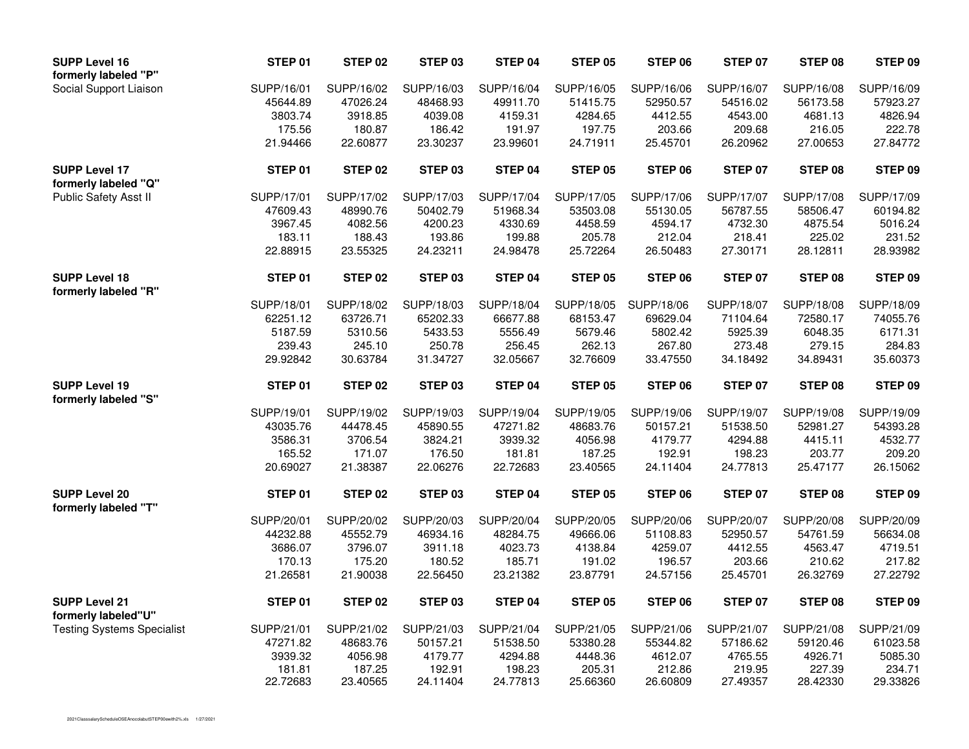| <b>SUPP Level 16</b><br>formerly labeled "P" | STEP 01           | <b>STEP 02</b>    | STEP 03           | STEP 04           | <b>STEP 05</b>    | STEP 06           | <b>STEP 07</b>    | STEP 08           | STEP 09           |
|----------------------------------------------|-------------------|-------------------|-------------------|-------------------|-------------------|-------------------|-------------------|-------------------|-------------------|
| Social Support Liaison                       | SUPP/16/01        | SUPP/16/02        | SUPP/16/03        | SUPP/16/04        | SUPP/16/05        | SUPP/16/06        | SUPP/16/07        | SUPP/16/08        | SUPP/16/09        |
|                                              | 45644.89          | 47026.24          | 48468.93          | 49911.70          | 51415.75          | 52950.57          | 54516.02          | 56173.58          | 57923.27          |
|                                              | 3803.74           | 3918.85           | 4039.08           | 4159.31           | 4284.65           | 4412.55           | 4543.00           | 4681.13           | 4826.94           |
|                                              | 175.56            | 180.87            | 186.42            | 191.97            | 197.75            | 203.66            | 209.68            | 216.05            | 222.78            |
|                                              | 21.94466          | 22.60877          | 23.30237          | 23.99601          | 24.71911          | 25.45701          | 26.20962          | 27.00653          | 27.84772          |
| <b>SUPP Level 17</b><br>formerly labeled "Q" | STEP 01           | <b>STEP 02</b>    | STEP 03           | STEP 04           | <b>STEP 05</b>    | <b>STEP 06</b>    | <b>STEP 07</b>    | STEP 08           | STEP 09           |
| Public Safety Asst II                        | SUPP/17/01        | SUPP/17/02        | SUPP/17/03        | SUPP/17/04        | SUPP/17/05        | SUPP/17/06        | SUPP/17/07        | SUPP/17/08        | SUPP/17/09        |
|                                              | 47609.43          | 48990.76          | 50402.79          | 51968.34          | 53503.08          | 55130.05          | 56787.55          | 58506.47          | 60194.82          |
|                                              | 3967.45           | 4082.56           | 4200.23           | 4330.69           | 4458.59           | 4594.17           | 4732.30           | 4875.54           | 5016.24           |
|                                              | 183.11            | 188.43            | 193.86            | 199.88            | 205.78            | 212.04            | 218.41            | 225.02            | 231.52            |
|                                              | 22.88915          | 23.55325          | 24.23211          | 24.98478          | 25.72264          | 26.50483          | 27.30171          | 28.12811          | 28.93982          |
| <b>SUPP Level 18</b><br>formerly labeled "R" | STEP 01           | <b>STEP 02</b>    | STEP 03           | STEP 04           | STEP 05           | <b>STEP 06</b>    | <b>STEP 07</b>    | STEP 08           | STEP 09           |
|                                              | SUPP/18/01        | SUPP/18/02        | SUPP/18/03        | SUPP/18/04        | SUPP/18/05        | SUPP/18/06        | SUPP/18/07        | SUPP/18/08        | SUPP/18/09        |
|                                              | 62251.12          | 63726.71          | 65202.33          | 66677.88          | 68153.47          | 69629.04          | 71104.64          | 72580.17          | 74055.76          |
|                                              | 5187.59           | 5310.56           | 5433.53           | 5556.49           | 5679.46           | 5802.42           | 5925.39           | 6048.35           | 6171.31           |
|                                              | 239.43            | 245.10            | 250.78            | 256.45            | 262.13            | 267.80            | 273.48            | 279.15            | 284.83            |
|                                              | 29.92842          | 30.63784          | 31.34727          | 32.05667          | 32.76609          | 33.47550          | 34.18492          | 34.89431          | 35.60373          |
| <b>SUPP Level 19</b><br>formerly labeled "S" | STEP 01           | STEP 02           | STEP 03           | STEP 04           | STEP 05           | STEP 06           | STEP 07           | STEP 08           | STEP 09           |
|                                              | SUPP/19/01        | SUPP/19/02        | SUPP/19/03        | SUPP/19/04        | SUPP/19/05        | SUPP/19/06        | SUPP/19/07        | SUPP/19/08        | SUPP/19/09        |
|                                              | 43035.76          | 44478.45          | 45890.55          | 47271.82          | 48683.76          | 50157.21          | 51538.50          | 52981.27          | 54393.28          |
|                                              | 3586.31           | 3706.54           | 3824.21           | 3939.32           | 4056.98           | 4179.77           | 4294.88           | 4415.11           | 4532.77           |
|                                              | 165.52            | 171.07            | 176.50            | 181.81            | 187.25            | 192.91            | 198.23            | 203.77            | 209.20            |
|                                              | 20.69027          | 21.38387          | 22.06276          | 22.72683          | 23.40565          | 24.11404          | 24.77813          | 25.47177          | 26.15062          |
| <b>SUPP Level 20</b><br>formerly labeled "T" | STEP 01           | <b>STEP 02</b>    | STEP 03           | STEP 04           | STEP 05           | STEP 06           | STEP 07           | STEP 08           | STEP 09           |
|                                              | SUPP/20/01        | SUPP/20/02        | SUPP/20/03        | SUPP/20/04        | SUPP/20/05        | SUPP/20/06        | SUPP/20/07        | SUPP/20/08        | SUPP/20/09        |
|                                              | 44232.88          | 45552.79          | 46934.16          | 48284.75          | 49666.06          | 51108.83          | 52950.57          | 54761.59          | 56634.08          |
|                                              | 3686.07           | 3796.07           | 3911.18           | 4023.73           | 4138.84           | 4259.07           | 4412.55           | 4563.47           | 4719.51           |
|                                              | 170.13            | 175.20            | 180.52            | 185.71            | 191.02            | 196.57            | 203.66            | 210.62            | 217.82            |
|                                              | 21.26581          | 21.90038          | 22.56450          | 23.21382          | 23.87791          | 24.57156          | 25.45701          | 26.32769          | 27.22792          |
| <b>SUPP Level 21</b><br>formerly labeled"U"  | STEP 01           | STEP 02           | STEP 03           | STEP 04           | <b>STEP 05</b>    | STEP 06           | <b>STEP 07</b>    | STEP 08           | STEP 09           |
|                                              |                   |                   |                   |                   |                   |                   |                   |                   |                   |
|                                              |                   | SUPP/21/02        | SUPP/21/03        | SUPP/21/04        | SUPP/21/05        | SUPP/21/06        | SUPP/21/07        | SUPP/21/08        | SUPP/21/09        |
| <b>Testing Systems Specialist</b>            | SUPP/21/01        |                   |                   |                   |                   |                   |                   |                   |                   |
|                                              | 47271.82          | 48683.76          | 50157.21          | 51538.50          | 53380.28          | 55344.82          | 57186.62          | 59120.46          | 61023.58          |
|                                              | 3939.32<br>181.81 | 4056.98<br>187.25 | 4179.77<br>192.91 | 4294.88<br>198.23 | 4448.36<br>205.31 | 4612.07<br>212.86 | 4765.55<br>219.95 | 4926.71<br>227.39 | 5085.30<br>234.71 |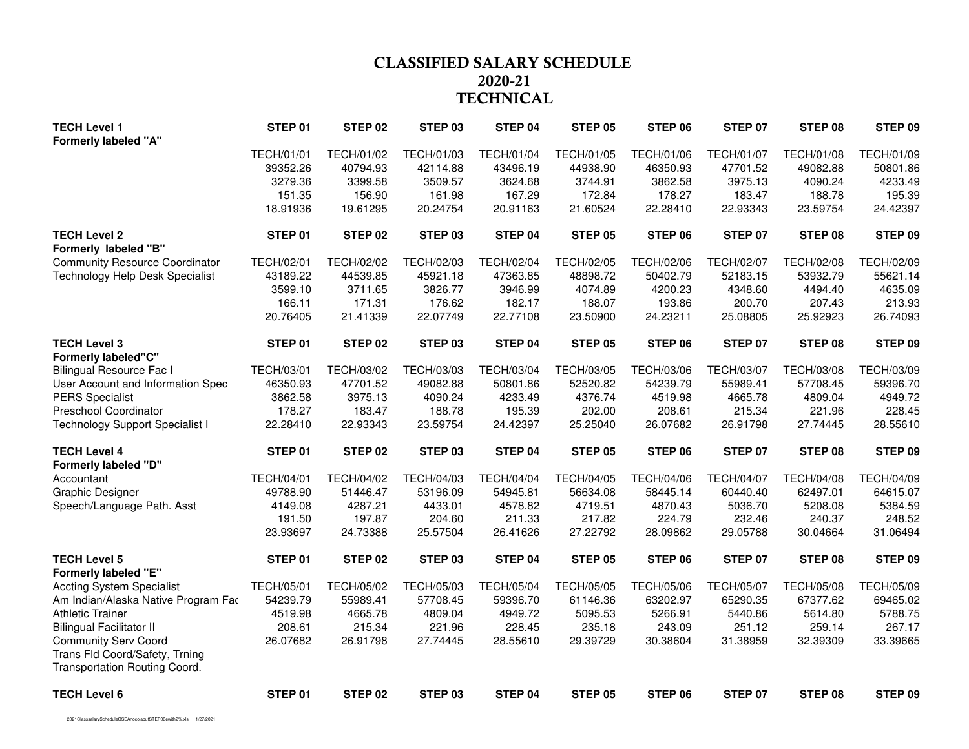# **CLASSIFIED SALARY SCHEDULE 2020-21TECHNICAL**

| <b>TECH Level 1</b><br><b>Formerly labeled "A"</b>              | STEP 01           | STEP <sub>02</sub> | STEP 03            | STEP 04           | <b>STEP 05</b>    | STEP 06           | STEP 07           | STEP 08           | STEP 09           |
|-----------------------------------------------------------------|-------------------|--------------------|--------------------|-------------------|-------------------|-------------------|-------------------|-------------------|-------------------|
|                                                                 | TECH/01/01        | TECH/01/02         | TECH/01/03         | TECH/01/04        | TECH/01/05        | TECH/01/06        | <b>TECH/01/07</b> | TECH/01/08        | TECH/01/09        |
|                                                                 | 39352.26          | 40794.93           | 42114.88           | 43496.19          | 44938.90          | 46350.93          | 47701.52          | 49082.88          | 50801.86          |
|                                                                 | 3279.36           | 3399.58            | 3509.57            | 3624.68           | 3744.91           | 3862.58           | 3975.13           | 4090.24           | 4233.49           |
|                                                                 | 151.35            | 156.90             | 161.98             | 167.29            | 172.84            | 178.27            | 183.47            | 188.78            | 195.39            |
|                                                                 | 18.91936          | 19.61295           | 20.24754           | 20.91163          | 21.60524          | 22.28410          | 22.93343          | 23.59754          | 24.42397          |
| <b>TECH Level 2</b>                                             | STEP 01           | STEP 02            | STEP 03            | STEP 04           | <b>STEP 05</b>    | STEP 06           | STEP 07           | STEP 08           | STEP 09           |
| Formerly labeled "B"                                            |                   |                    |                    |                   |                   |                   |                   |                   |                   |
| <b>Community Resource Coordinator</b>                           | <b>TECH/02/01</b> | <b>TECH/02/02</b>  | <b>TECH/02/03</b>  | <b>TECH/02/04</b> | <b>TECH/02/05</b> | <b>TECH/02/06</b> | <b>TECH/02/07</b> | <b>TECH/02/08</b> | TECH/02/09        |
| Technology Help Desk Specialist                                 | 43189.22          | 44539.85           | 45921.18           | 47363.85          | 48898.72          | 50402.79          | 52183.15          | 53932.79          | 55621.14          |
|                                                                 | 3599.10           | 3711.65            | 3826.77            | 3946.99           | 4074.89           | 4200.23           | 4348.60           | 4494.40           | 4635.09           |
|                                                                 | 166.11            | 171.31             | 176.62             | 182.17            | 188.07            | 193.86            | 200.70            | 207.43            | 213.93            |
|                                                                 | 20.76405          | 21.41339           | 22.07749           | 22.77108          | 23.50900          | 24.23211          | 25.08805          | 25.92923          | 26.74093          |
| <b>TECH Level 3</b>                                             | STEP 01           | STEP 02            | STEP 03            | STEP 04           | <b>STEP 05</b>    | STEP 06           | <b>STEP 07</b>    | STEP 08           | STEP 09           |
| <b>Formerly labeled"C"</b>                                      |                   |                    |                    |                   |                   |                   |                   |                   |                   |
| <b>Bilingual Resource Fac I</b>                                 | TECH/03/01        | TECH/03/02         | TECH/03/03         | TECH/03/04        | <b>TECH/03/05</b> | TECH/03/06        | <b>TECH/03/07</b> | TECH/03/08        | TECH/03/09        |
| User Account and Information Spec                               | 46350.93          | 47701.52           | 49082.88           | 50801.86          | 52520.82          | 54239.79          | 55989.41          | 57708.45          | 59396.70          |
| <b>PERS Specialist</b>                                          | 3862.58           | 3975.13            | 4090.24            | 4233.49           | 4376.74           | 4519.98           | 4665.78           | 4809.04           | 4949.72           |
| Preschool Coordinator                                           | 178.27            | 183.47             | 188.78             | 195.39            | 202.00            | 208.61            | 215.34            | 221.96            | 228.45            |
| <b>Technology Support Specialist I</b>                          | 22.28410          | 22.93343           | 23.59754           | 24.42397          | 25.25040          | 26.07682          | 26.91798          | 27.74445          | 28.55610          |
| <b>TECH Level 4</b>                                             | STEP 01           | STEP 02            | STEP 03            | STEP 04           | <b>STEP 05</b>    | STEP 06           | <b>STEP 07</b>    | STEP 08           | STEP 09           |
| <b>Formerly labeled "D"</b>                                     |                   |                    |                    |                   |                   |                   |                   |                   |                   |
| Accountant                                                      | <b>TECH/04/01</b> | TECH/04/02         | TECH/04/03         | <b>TECH/04/04</b> | <b>TECH/04/05</b> | TECH/04/06        | <b>TECH/04/07</b> | <b>TECH/04/08</b> | TECH/04/09        |
| <b>Graphic Designer</b>                                         | 49788.90          | 51446.47           | 53196.09           | 54945.81          | 56634.08          | 58445.14          | 60440.40          | 62497.01          | 64615.07          |
| Speech/Language Path. Asst                                      | 4149.08           | 4287.21<br>197.87  | 4433.01            | 4578.82<br>211.33 | 4719.51<br>217.82 | 4870.43<br>224.79 | 5036.70<br>232.46 | 5208.08<br>240.37 | 5384.59<br>248.52 |
|                                                                 | 191.50            |                    | 204.60             |                   |                   |                   |                   |                   |                   |
|                                                                 | 23.93697          | 24.73388           | 25.57504           | 26.41626          | 27.22792          | 28.09862          | 29.05788          | 30.04664          | 31.06494          |
| <b>TECH Level 5</b><br><b>Formerly labeled "E"</b>              | STEP 01           | STEP 02            | STEP 03            | STEP 04           | <b>STEP 05</b>    | STEP 06           | <b>STEP 07</b>    | STEP 08           | STEP 09           |
| <b>Accting System Specialist</b>                                | <b>TECH/05/01</b> | <b>TECH/05/02</b>  | TECH/05/03         | <b>TECH/05/04</b> | <b>TECH/05/05</b> | TECH/05/06        | <b>TECH/05/07</b> | <b>TECH/05/08</b> | TECH/05/09        |
| Am Indian/Alaska Native Program Fao                             | 54239.79          | 55989.41           | 57708.45           | 59396.70          | 61146.36          | 63202.97          | 65290.35          | 67377.62          | 69465.02          |
| <b>Athletic Trainer</b>                                         | 4519.98           | 4665.78            | 4809.04            | 4949.72           | 5095.53           | 5266.91           | 5440.86           | 5614.80           | 5788.75           |
| <b>Bilingual Facilitator II</b>                                 | 208.61            | 215.34             | 221.96             | 228.45            | 235.18            | 243.09            | 251.12            | 259.14            | 267.17            |
| <b>Community Serv Coord</b>                                     | 26.07682          | 26.91798           | 27.74445           | 28.55610          | 29.39729          | 30.38604          | 31.38959          | 32.39309          | 33.39665          |
| Trans Fld Coord/Safety, Trning<br>Transportation Routing Coord. |                   |                    |                    |                   |                   |                   |                   |                   |                   |
| <b>TECH Level 6</b>                                             | STEP 01           | STEP <sub>02</sub> | STEP <sub>03</sub> | STEP 04           | <b>STEP 05</b>    | STEP 06           | STEP 07           | STEP 08           | STEP 09           |

2021ClasssalaryScheduleOSEAnocolabutSTEP00ewith2%.xls 1/27/2021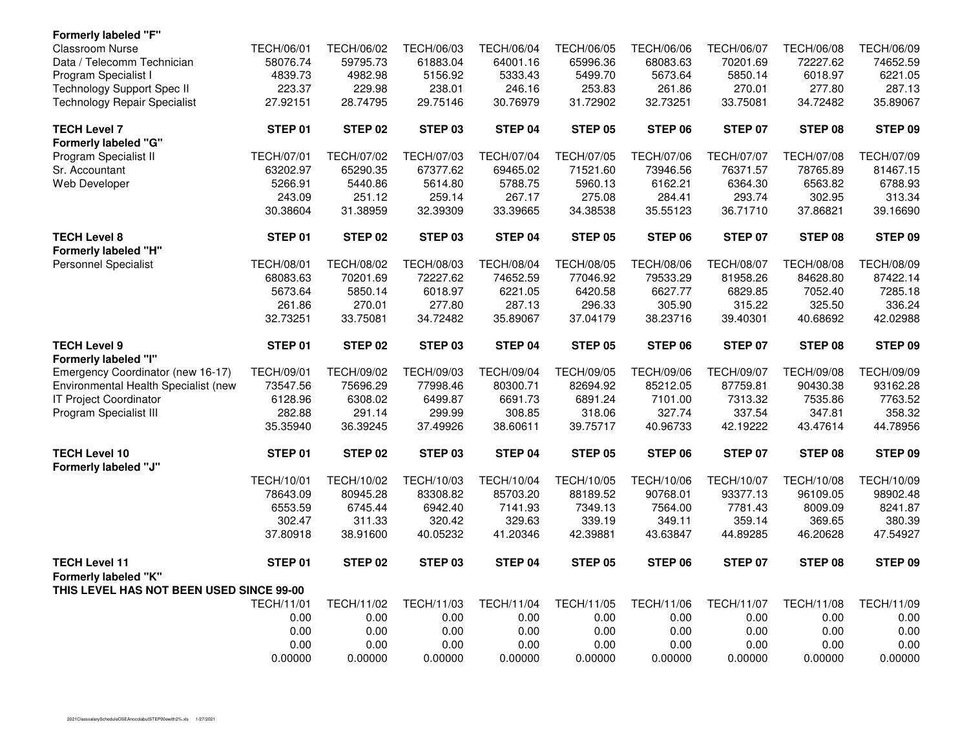| <b>Formerly labeled "F"</b>                  |                   |                   |                    |                   |                   |                   |                   |                   |                   |
|----------------------------------------------|-------------------|-------------------|--------------------|-------------------|-------------------|-------------------|-------------------|-------------------|-------------------|
| <b>Classroom Nurse</b>                       | <b>TECH/06/01</b> | <b>TECH/06/02</b> | TECH/06/03         | <b>TECH/06/04</b> | <b>TECH/06/05</b> | <b>TECH/06/06</b> | <b>TECH/06/07</b> | <b>TECH/06/08</b> | TECH/06/09        |
| Data / Telecomm Technician                   | 58076.74          | 59795.73          | 61883.04           | 64001.16          | 65996.36          | 68083.63          | 70201.69          | 72227.62          | 74652.59          |
| Program Specialist I                         | 4839.73           | 4982.98           | 5156.92            | 5333.43           | 5499.70           | 5673.64           | 5850.14           | 6018.97           | 6221.05           |
| <b>Technology Support Spec II</b>            | 223.37            | 229.98            | 238.01             | 246.16            | 253.83            | 261.86            | 270.01            | 277.80            | 287.13            |
| <b>Technology Repair Specialist</b>          | 27.92151          | 28.74795          | 29.75146           | 30.76979          | 31.72902          | 32.73251          | 33.75081          | 34.72482          | 35.89067          |
| <b>TECH Level 7</b>                          | STEP 01           | STEP 02           | STEP 03            | STEP 04           | <b>STEP 05</b>    | STEP 06           | <b>STEP 07</b>    | STEP 08           | STEP 09           |
| <b>Formerly labeled "G"</b>                  |                   |                   |                    |                   |                   |                   |                   |                   |                   |
| Program Specialist II                        | <b>TECH/07/01</b> | <b>TECH/07/02</b> | TECH/07/03         | <b>TECH/07/04</b> | <b>TECH/07/05</b> | <b>TECH/07/06</b> | <b>TECH/07/07</b> | TECH/07/08        | TECH/07/09        |
| Sr. Accountant                               | 63202.97          | 65290.35          | 67377.62           | 69465.02          | 71521.60          | 73946.56          | 76371.57          | 78765.89          | 81467.15          |
| Web Developer                                | 5266.91           | 5440.86           | 5614.80            | 5788.75           | 5960.13           | 6162.21           | 6364.30           | 6563.82           | 6788.93           |
|                                              | 243.09            | 251.12            | 259.14             | 267.17            | 275.08            | 284.41            | 293.74            | 302.95            | 313.34            |
|                                              | 30.38604          | 31.38959          | 32.39309           | 33.39665          | 34.38538          | 35.55123          | 36.71710          | 37.86821          | 39.16690          |
| <b>TECH Level 8</b>                          | STEP 01           | STEP 02           | STEP 03            | STEP 04           | <b>STEP 05</b>    | STEP 06           | STEP 07           | STEP 08           | STEP 09           |
| <b>Formerly labeled "H"</b>                  |                   |                   |                    |                   |                   |                   |                   |                   |                   |
| <b>Personnel Specialist</b>                  | <b>TECH/08/01</b> | <b>TECH/08/02</b> | <b>TECH/08/03</b>  | <b>TECH/08/04</b> | <b>TECH/08/05</b> | <b>TECH/08/06</b> | <b>TECH/08/07</b> | <b>TECH/08/08</b> | <b>TECH/08/09</b> |
|                                              | 68083.63          | 70201.69          | 72227.62           | 74652.59          | 77046.92          | 79533.29          | 81958.26          | 84628.80          | 87422.14          |
|                                              | 5673.64           | 5850.14           | 6018.97            | 6221.05           | 6420.58           | 6627.77           | 6829.85           | 7052.40           | 7285.18           |
|                                              | 261.86            | 270.01            | 277.80             | 287.13            | 296.33            | 305.90            | 315.22            | 325.50            | 336.24            |
|                                              | 32.73251          | 33.75081          | 34.72482           | 35.89067          | 37.04179          | 38.23716          | 39.40301          | 40.68692          | 42.02988          |
| <b>TECH Level 9</b><br>Formerly labeled "I"  | STEP 01           | STEP 02           | STEP 03            | STEP 04           | <b>STEP 05</b>    | STEP 06           | STEP 07           | STEP 08           | STEP 09           |
| Emergency Coordinator (new 16-17)            | <b>TECH/09/01</b> | <b>TECH/09/02</b> | TECH/09/03         | <b>TECH/09/04</b> | <b>TECH/09/05</b> | <b>TECH/09/06</b> | <b>TECH/09/07</b> | <b>TECH/09/08</b> | <b>TECH/09/09</b> |
| Environmental Health Specialist (new         | 73547.56          | 75696.29          | 77998.46           | 80300.71          | 82694.92          | 85212.05          | 87759.81          | 90430.38          | 93162.28          |
| <b>IT Project Coordinator</b>                | 6128.96           | 6308.02           | 6499.87            | 6691.73           | 6891.24           | 7101.00           | 7313.32           | 7535.86           | 7763.52           |
| Program Specialist III                       | 282.88            | 291.14            | 299.99             | 308.85            | 318.06            | 327.74            | 337.54            | 347.81            | 358.32            |
|                                              | 35.35940          | 36.39245          | 37.49926           | 38.60611          | 39.75717          | 40.96733          | 42.19222          | 43.47614          | 44.78956          |
| <b>TECH Level 10</b><br>Formerly labeled "J" | STEP 01           | STEP 02           | STEP 03            | STEP 04           | <b>STEP 05</b>    | STEP 06           | <b>STEP 07</b>    | STEP 08           | STEP 09           |
|                                              | TECH/10/01        | TECH/10/02        | TECH/10/03         | TECH/10/04        | TECH/10/05        | TECH/10/06        | <b>TECH/10/07</b> | <b>TECH/10/08</b> | TECH/10/09        |
|                                              | 78643.09          | 80945.28          | 83308.82           | 85703.20          | 88189.52          | 90768.01          | 93377.13          | 96109.05          | 98902.48          |
|                                              | 6553.59           | 6745.44           | 6942.40            | 7141.93           | 7349.13           | 7564.00           | 7781.43           | 8009.09           | 8241.87           |
|                                              | 302.47            | 311.33            | 320.42             | 329.63            | 339.19            | 349.11            | 359.14            | 369.65            | 380.39            |
|                                              | 37.80918          | 38.91600          | 40.05232           | 41.20346          | 42.39881          | 43.63847          | 44.89285          | 46.20628          | 47.54927          |
|                                              |                   |                   |                    |                   |                   |                   |                   |                   |                   |
| <b>TECH Level 11</b>                         | STEP 01           | STEP 02           | STEP <sub>03</sub> | STEP 04           | <b>STEP 05</b>    | STEP 06           | STEP 07           | STEP 08           | STEP 09           |
| Formerly labeled "K"                         |                   |                   |                    |                   |                   |                   |                   |                   |                   |
| THIS LEVEL HAS NOT BEEN USED SINCE 99-00     |                   |                   |                    |                   |                   |                   |                   |                   |                   |
|                                              | <b>TECH/11/01</b> | TECH/11/02        | TECH/11/03         | TECH/11/04        | TECH/11/05        | TECH/11/06        | <b>TECH/11/07</b> | TECH/11/08        | TECH/11/09        |
|                                              | 0.00              | 0.00              | 0.00               | 0.00              | 0.00              | 0.00              | 0.00              | 0.00              | 0.00              |
|                                              | 0.00              | 0.00              | 0.00               | 0.00              | 0.00              | 0.00              | 0.00              | 0.00              | 0.00              |
|                                              | 0.00              | 0.00              | 0.00               | 0.00              | 0.00              | 0.00              | 0.00              | 0.00              | 0.00              |
|                                              | 0.00000           | 0.00000           | 0.00000            | 0.00000           | 0.00000           | 0.00000           | 0.00000           | 0.00000           | 0.00000           |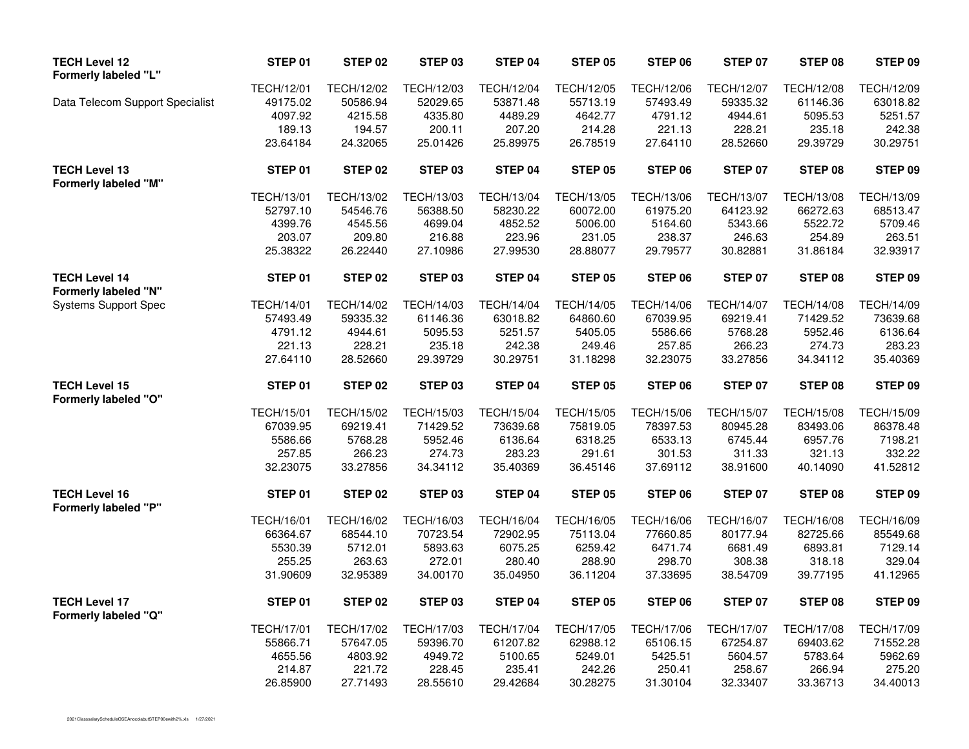| <b>TECH Level 12</b><br>Formerly labeled "L"        | STEP 01           | STEP <sub>02</sub> | STEP 03            | STEP 04           | <b>STEP 05</b>    | STEP 06           | <b>STEP 07</b>    | STEP 08           | STEP 09    |
|-----------------------------------------------------|-------------------|--------------------|--------------------|-------------------|-------------------|-------------------|-------------------|-------------------|------------|
|                                                     | <b>TECH/12/01</b> | TECH/12/02         | TECH/12/03         | <b>TECH/12/04</b> | TECH/12/05        | <b>TECH/12/06</b> | <b>TECH/12/07</b> | <b>TECH/12/08</b> | TECH/12/09 |
| Data Telecom Support Specialist                     | 49175.02          | 50586.94           | 52029.65           | 53871.48          | 55713.19          | 57493.49          | 59335.32          | 61146.36          | 63018.82   |
|                                                     | 4097.92           | 4215.58            | 4335.80            | 4489.29           | 4642.77           | 4791.12           | 4944.61           | 5095.53           | 5251.57    |
|                                                     | 189.13            | 194.57             | 200.11             | 207.20            | 214.28            | 221.13            | 228.21            | 235.18            | 242.38     |
|                                                     | 23.64184          | 24.32065           | 25.01426           | 25.89975          | 26.78519          | 27.64110          | 28.52660          | 29.39729          | 30.29751   |
| <b>TECH Level 13</b><br><b>Formerly labeled "M"</b> | STEP 01           | STEP 02            | STEP 03            | STEP 04           | <b>STEP 05</b>    | STEP 06           | STEP 07           | STEP 08           | STEP 09    |
|                                                     | <b>TECH/13/01</b> | TECH/13/02         | TECH/13/03         | <b>TECH/13/04</b> | TECH/13/05        | TECH/13/06        | <b>TECH/13/07</b> | <b>TECH/13/08</b> | TECH/13/09 |
|                                                     | 52797.10          | 54546.76           | 56388.50           | 58230.22          | 60072.00          | 61975.20          | 64123.92          | 66272.63          | 68513.47   |
|                                                     | 4399.76           | 4545.56            | 4699.04            | 4852.52           | 5006.00           | 5164.60           | 5343.66           | 5522.72           | 5709.46    |
|                                                     | 203.07            | 209.80             | 216.88             | 223.96            | 231.05            | 238.37            | 246.63            | 254.89            | 263.51     |
|                                                     | 25.38322          | 26.22440           | 27.10986           | 27.99530          | 28.88077          | 29.79577          | 30.82881          | 31.86184          | 32.93917   |
| <b>TECH Level 14</b><br>Formerly labeled "N"        | STEP 01           | STEP 02            | STEP 03            | STEP 04           | STEP 05           | STEP 06           | STEP 07           | STEP 08           | STEP 09    |
| <b>Systems Support Spec</b>                         | <b>TECH/14/01</b> | TECH/14/02         | TECH/14/03         | <b>TECH/14/04</b> | <b>TECH/14/05</b> | TECH/14/06        | <b>TECH/14/07</b> | TECH/14/08        | TECH/14/09 |
|                                                     | 57493.49          | 59335.32           | 61146.36           | 63018.82          | 64860.60          | 67039.95          | 69219.41          | 71429.52          | 73639.68   |
|                                                     | 4791.12           | 4944.61            | 5095.53            | 5251.57           | 5405.05           | 5586.66           | 5768.28           | 5952.46           | 6136.64    |
|                                                     | 221.13            | 228.21             | 235.18             | 242.38            | 249.46            | 257.85            | 266.23            | 274.73            | 283.23     |
|                                                     | 27.64110          | 28.52660           | 29.39729           | 30.29751          | 31.18298          | 32.23075          | 33.27856          | 34.34112          | 35.40369   |
| <b>TECH Level 15</b><br><b>Formerly labeled "O"</b> | STEP 01           | STEP 02            | STEP <sub>03</sub> | STEP 04           | STEP 05           | STEP 06           | STEP 07           | STEP 08           | STEP 09    |
|                                                     | <b>TECH/15/01</b> | <b>TECH/15/02</b>  | TECH/15/03         | <b>TECH/15/04</b> | <b>TECH/15/05</b> | <b>TECH/15/06</b> | <b>TECH/15/07</b> | <b>TECH/15/08</b> | TECH/15/09 |
|                                                     | 67039.95          | 69219.41           | 71429.52           | 73639.68          | 75819.05          | 78397.53          | 80945.28          | 83493.06          | 86378.48   |
|                                                     | 5586.66           | 5768.28            | 5952.46            | 6136.64           | 6318.25           | 6533.13           | 6745.44           | 6957.76           | 7198.21    |
|                                                     | 257.85            | 266.23             | 274.73             | 283.23            | 291.61            | 301.53            | 311.33            | 321.13            | 332.22     |
|                                                     | 32.23075          | 33.27856           | 34.34112           | 35.40369          | 36.45146          | 37.69112          | 38.91600          | 40.14090          | 41.52812   |
| <b>TECH Level 16</b><br><b>Formerly labeled "P"</b> | STEP 01           | STEP 02            | STEP 03            | STEP 04           | <b>STEP 05</b>    | STEP 06           | STEP 07           | STEP 08           | STEP 09    |
|                                                     | <b>TECH/16/01</b> | TECH/16/02         | TECH/16/03         | <b>TECH/16/04</b> | TECH/16/05        | TECH/16/06        | <b>TECH/16/07</b> | <b>TECH/16/08</b> | TECH/16/09 |
|                                                     | 66364.67          | 68544.10           | 70723.54           | 72902.95          | 75113.04          | 77660.85          | 80177.94          | 82725.66          | 85549.68   |
|                                                     | 5530.39           | 5712.01            | 5893.63            | 6075.25           | 6259.42           | 6471.74           | 6681.49           | 6893.81           | 7129.14    |
|                                                     | 255.25            | 263.63             | 272.01             | 280.40            | 288.90            | 298.70            | 308.38            | 318.18            | 329.04     |
|                                                     | 31.90609          | 32.95389           | 34.00170           | 35.04950          | 36.11204          | 37.33695          | 38.54709          | 39.77195          | 41.12965   |
| <b>TECH Level 17</b><br>Formerly labeled "Q"        | STEP 01           | STEP 02            | STEP <sub>03</sub> | STEP 04           | <b>STEP 05</b>    | STEP 06           | STEP 07           | STEP 08           | STEP 09    |
|                                                     | <b>TECH/17/01</b> | <b>TECH/17/02</b>  | TECH/17/03         | <b>TECH/17/04</b> | TECH/17/05        | TECH/17/06        | <b>TECH/17/07</b> | TECH/17/08        | TECH/17/09 |
|                                                     | 55866.71          | 57647.05           | 59396.70           | 61207.82          | 62988.12          | 65106.15          | 67254.87          | 69403.62          | 71552.28   |
|                                                     | 4655.56           | 4803.92            | 4949.72            | 5100.65           | 5249.01           | 5425.51           | 5604.57           | 5783.64           | 5962.69    |
|                                                     | 214.87            | 221.72             | 228.45             | 235.41            | 242.26            | 250.41            | 258.67            | 266.94            | 275.20     |
|                                                     | 26.85900          | 27.71493           | 28.55610           | 29.42684          | 30.28275          | 31.30104          | 32.33407          | 33.36713          | 34.40013   |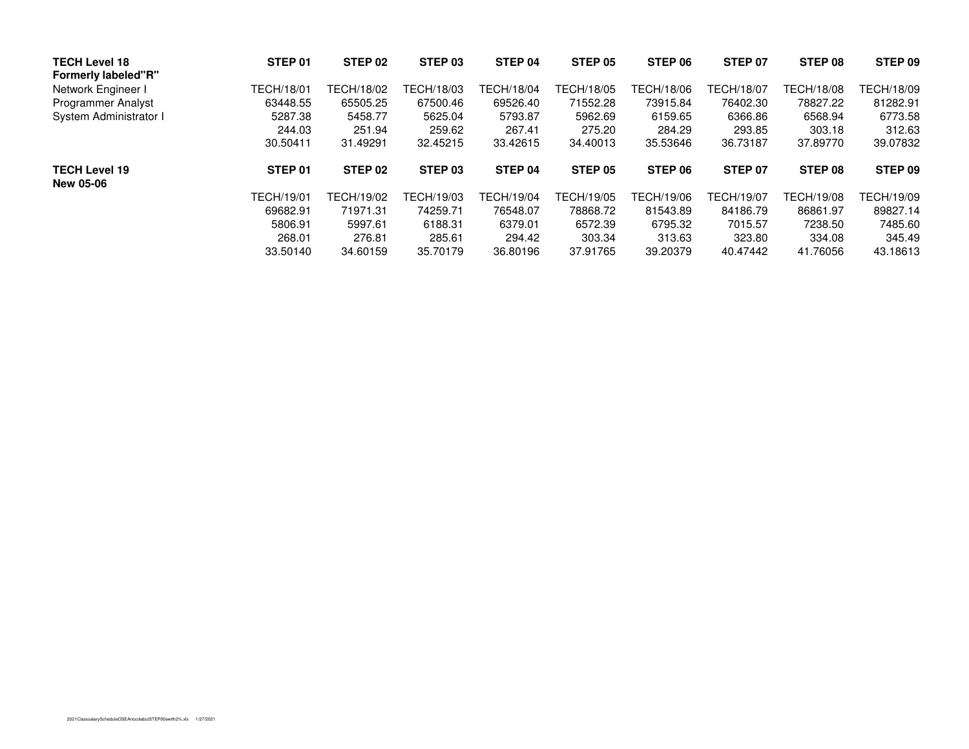| <b>TECH Level 18</b><br><b>Formerly labeled"R"</b> | STEP <sub>01</sub> | STEP 02            | STEP 03           | STEP 04    | STEP 05    | STEP 06    | STEP 07    | STEP 08           | STEP 09    |
|----------------------------------------------------|--------------------|--------------------|-------------------|------------|------------|------------|------------|-------------------|------------|
| Network Engineer I                                 | TECH/18/01         | TECH/18/02         | <b>FECH/18/03</b> | TECH/18/04 | TECH/18/05 | TECH/18/06 | TECH/18/07 | TECH/18/08        | TECH/18/09 |
| <b>Programmer Analyst</b>                          | 63448.55           | 65505.25           | 67500.46          | 69526.40   | 71552.28   | 73915.84   | 76402.30   | 78827.22          | 81282.91   |
| System Administrator I                             | 5287.38            | 5458.77            | 5625.04           | 5793.87    | 5962.69    | 6159.65    | 6366.86    | 6568.94           | 6773.58    |
|                                                    | 244.03             | 251.94             | 259.62            | 267.41     | 275.20     | 284.29     | 293.85     | 303.18            | 312.63     |
|                                                    | 30.50411           | 31.49291           | 32.45215          | 33.42615   | 34.40013   | 35.53646   | 36.73187   | 37.89770          | 39.07832   |
| <b>TECH Level 19</b><br><b>New 05-06</b>           | STEP 01            | STEP <sub>02</sub> | STEP 03           | STEP 04    | STEP 05    | STEP 06    | STEP 07    | STEP 08           | STEP 09    |
|                                                    | TECH/19/01         | TECH/19/02         | FECH/19/03        | TECH/19/04 | TECH/19/05 | TECH/19/06 | TECH/19/07 | <b>TECH/19/08</b> | TECH/19/09 |
|                                                    | 69682.91           | 71971.31           | 74259.71          | 76548.07   | 78868.72   | 81543.89   | 84186.79   | 86861.97          | 89827.14   |
|                                                    | 5806.91            | 5997.61            | 6188.31           | 6379.01    | 6572.39    | 6795.32    | 7015.57    | 7238.50           | 7485.60    |
|                                                    | 268.01             | 276.81             | 285.61            | 294.42     | 303.34     | 313.63     | 323.80     | 334.08            | 345.49     |
|                                                    | 33.50140           | 34.60159           | 35.70179          | 36.80196   | 37.91765   | 39.20379   | 40.47442   | 41.76056          | 43.18613   |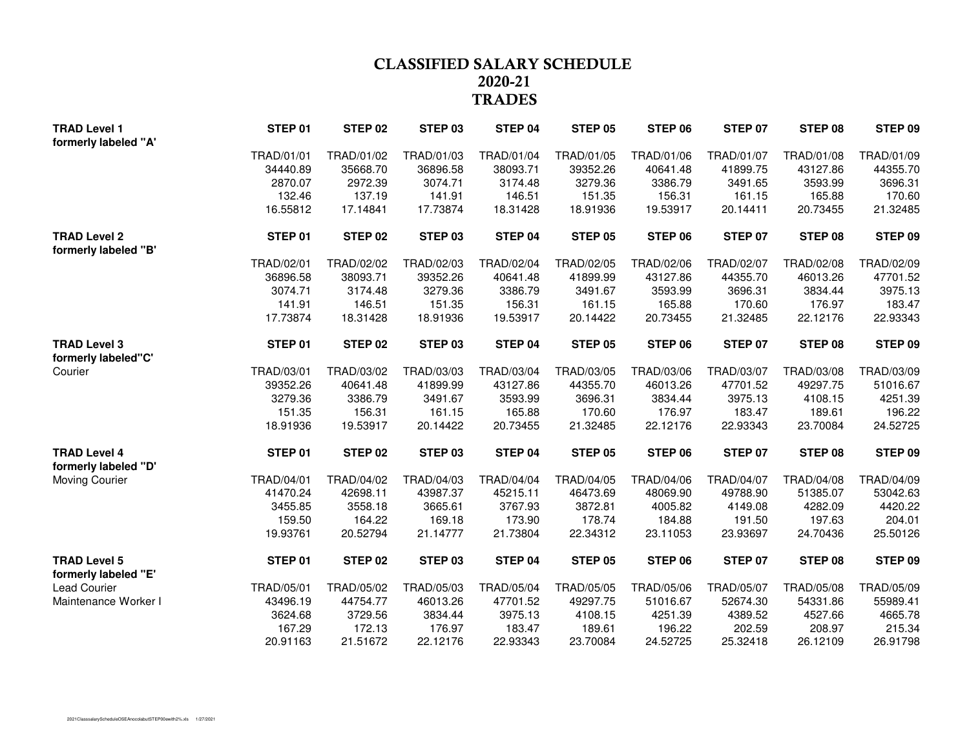### **CLASSIFIED SALARY SCHEDULE 2020-21TRADES**

| <b>TRAD Level 1</b>  | STEP 01    | STEP 02    | STEP <sub>03</sub> | STEP 04    | <b>STEP 05</b> | STEP 06    | <b>STEP 07</b> | STEP 08    | STEP 09    |
|----------------------|------------|------------|--------------------|------------|----------------|------------|----------------|------------|------------|
| formerly labeled "A' |            |            |                    |            |                |            |                |            |            |
|                      | TRAD/01/01 | TRAD/01/02 | TRAD/01/03         | TRAD/01/04 | TRAD/01/05     | TRAD/01/06 | TRAD/01/07     | TRAD/01/08 | TRAD/01/09 |
|                      | 34440.89   | 35668.70   | 36896.58           | 38093.71   | 39352.26       | 40641.48   | 41899.75       | 43127.86   | 44355.70   |
|                      | 2870.07    | 2972.39    | 3074.71            | 3174.48    | 3279.36        | 3386.79    | 3491.65        | 3593.99    | 3696.31    |
|                      | 132.46     | 137.19     | 141.91             | 146.51     | 151.35         | 156.31     | 161.15         | 165.88     | 170.60     |
|                      | 16.55812   | 17.14841   | 17.73874           | 18.31428   | 18.91936       | 19.53917   | 20.14411       | 20.73455   | 21.32485   |
| <b>TRAD Level 2</b>  | STEP 01    | STEP 02    | STEP 03            | STEP 04    | <b>STEP 05</b> | STEP 06    | STEP 07        | STEP 08    | STEP 09    |
| formerly labeled "B" |            |            |                    |            |                |            |                |            |            |
|                      | TRAD/02/01 | TRAD/02/02 | TRAD/02/03         | TRAD/02/04 | TRAD/02/05     | TRAD/02/06 | TRAD/02/07     | TRAD/02/08 | TRAD/02/09 |
|                      | 36896.58   | 38093.71   | 39352.26           | 40641.48   | 41899.99       | 43127.86   | 44355.70       | 46013.26   | 47701.52   |
|                      | 3074.71    | 3174.48    | 3279.36            | 3386.79    | 3491.67        | 3593.99    | 3696.31        | 3834.44    | 3975.13    |
|                      | 141.91     | 146.51     | 151.35             | 156.31     | 161.15         | 165.88     | 170.60         | 176.97     | 183.47     |
|                      | 17.73874   | 18.31428   | 18.91936           | 19.53917   | 20.14422       | 20.73455   | 21.32485       | 22.12176   | 22.93343   |
| <b>TRAD Level 3</b>  | STEP 01    | STEP 02    | STEP <sub>03</sub> | STEP 04    | <b>STEP 05</b> | STEP 06    | <b>STEP 07</b> | STEP 08    | STEP 09    |
| formerly labeled"C'  |            |            |                    |            |                |            |                |            |            |
| Courier              | TRAD/03/01 | TRAD/03/02 | TRAD/03/03         | TRAD/03/04 | TRAD/03/05     | TRAD/03/06 | TRAD/03/07     | TRAD/03/08 | TRAD/03/09 |
|                      | 39352.26   | 40641.48   | 41899.99           | 43127.86   | 44355.70       | 46013.26   | 47701.52       | 49297.75   | 51016.67   |
|                      | 3279.36    | 3386.79    | 3491.67            | 3593.99    | 3696.31        | 3834.44    | 3975.13        | 4108.15    | 4251.39    |
|                      | 151.35     | 156.31     | 161.15             | 165.88     | 170.60         | 176.97     | 183.47         | 189.61     | 196.22     |
|                      | 18.91936   | 19.53917   | 20.14422           | 20.73455   | 21.32485       | 22.12176   | 22.93343       | 23.70084   | 24.52725   |
| <b>TRAD Level 4</b>  | STEP 01    | STEP 02    | STEP <sub>03</sub> | STEP 04    | <b>STEP 05</b> | STEP 06    | <b>STEP 07</b> | STEP 08    | STEP 09    |
| formerly labeled "D" |            |            |                    |            |                |            |                |            |            |
| Moving Courier       | TRAD/04/01 | TRAD/04/02 | TRAD/04/03         | TRAD/04/04 | TRAD/04/05     | TRAD/04/06 | TRAD/04/07     | TRAD/04/08 | TRAD/04/09 |
|                      | 41470.24   | 42698.11   | 43987.37           | 45215.11   | 46473.69       | 48069.90   | 49788.90       | 51385.07   | 53042.63   |
|                      | 3455.85    | 3558.18    | 3665.61            | 3767.93    | 3872.81        | 4005.82    | 4149.08        | 4282.09    | 4420.22    |
|                      | 159.50     | 164.22     | 169.18             | 173.90     | 178.74         | 184.88     | 191.50         | 197.63     | 204.01     |
|                      | 19.93761   | 20.52794   | 21.14777           | 21.73804   | 22.34312       | 23.11053   | 23.93697       | 24.70436   | 25.50126   |
| <b>TRAD Level 5</b>  | STEP 01    | STEP 02    | STEP <sub>03</sub> | STEP 04    | <b>STEP 05</b> | STEP 06    | STEP 07        | STEP 08    | STEP 09    |
| formerly labeled "E" |            |            |                    |            |                |            |                |            |            |
| <b>Lead Courier</b>  | TRAD/05/01 | TRAD/05/02 | TRAD/05/03         | TRAD/05/04 | TRAD/05/05     | TRAD/05/06 | TRAD/05/07     | TRAD/05/08 | TRAD/05/09 |
| Maintenance Worker I | 43496.19   | 44754.77   | 46013.26           | 47701.52   | 49297.75       | 51016.67   | 52674.30       | 54331.86   | 55989.41   |
|                      | 3624.68    | 3729.56    | 3834.44            | 3975.13    | 4108.15        | 4251.39    | 4389.52        | 4527.66    | 4665.78    |
|                      | 167.29     | 172.13     | 176.97             | 183.47     | 189.61         | 196.22     | 202.59         | 208.97     | 215.34     |
|                      | 20.91163   | 21.51672   | 22.12176           | 22.93343   | 23.70084       | 24.52725   | 25.32418       | 26.12109   | 26.91798   |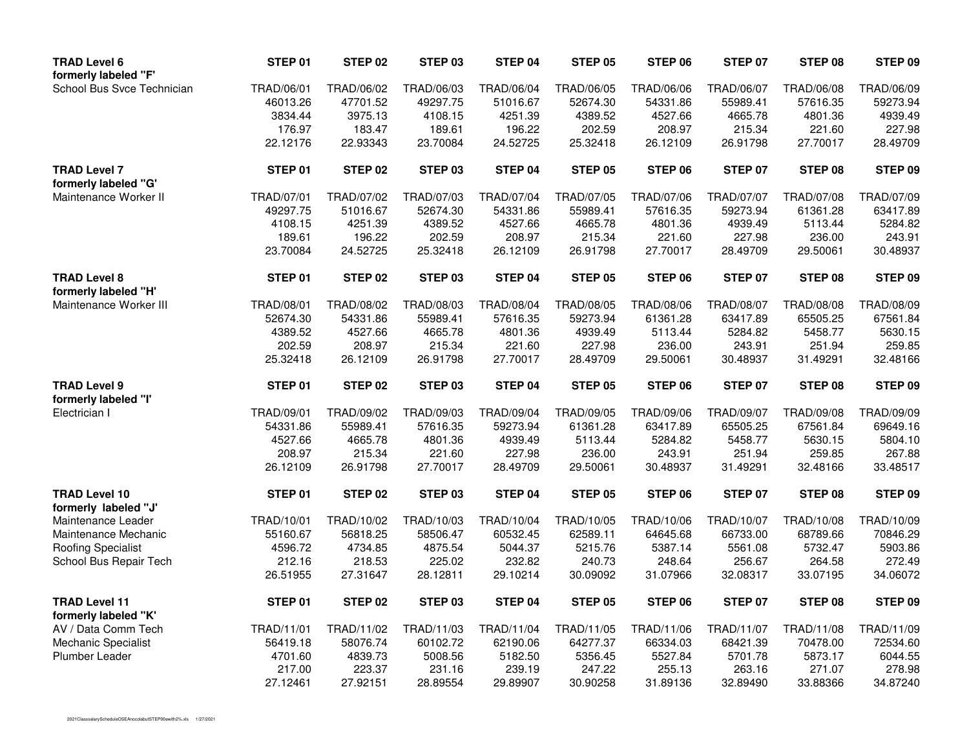| <b>TRAD Level 6</b><br>formerly labeled "F"  | STEP 01    | <b>STEP 02</b> | STEP 03            | STEP 04           | <b>STEP 05</b> | STEP 06    | STEP 07           | STEP 08    | STEP 09            |
|----------------------------------------------|------------|----------------|--------------------|-------------------|----------------|------------|-------------------|------------|--------------------|
| School Bus Svce Technician                   | TRAD/06/01 | TRAD/06/02     | TRAD/06/03         | TRAD/06/04        | TRAD/06/05     | TRAD/06/06 | TRAD/06/07        | TRAD/06/08 | TRAD/06/09         |
|                                              | 46013.26   | 47701.52       | 49297.75           | 51016.67          | 52674.30       | 54331.86   | 55989.41          | 57616.35   | 59273.94           |
|                                              | 3834.44    | 3975.13        | 4108.15            | 4251.39           | 4389.52        | 4527.66    | 4665.78           | 4801.36    | 4939.49            |
|                                              | 176.97     | 183.47         | 189.61             | 196.22            | 202.59         | 208.97     | 215.34            | 221.60     | 227.98             |
|                                              | 22.12176   | 22.93343       | 23.70084           | 24.52725          | 25.32418       | 26.12109   | 26.91798          | 27.70017   | 28.49709           |
| <b>TRAD Level 7</b><br>formerly labeled "G"  | STEP 01    | <b>STEP 02</b> | STEP 03            | STEP 04           | STEP 05        | STEP 06    | STEP 07           | STEP 08    | STEP 09            |
| Maintenance Worker II                        | TRAD/07/01 | TRAD/07/02     | TRAD/07/03         | TRAD/07/04        | TRAD/07/05     | TRAD/07/06 | <b>TRAD/07/07</b> | TRAD/07/08 | TRAD/07/09         |
|                                              | 49297.75   | 51016.67       | 52674.30           | 54331.86          | 55989.41       | 57616.35   | 59273.94          | 61361.28   | 63417.89           |
|                                              | 4108.15    | 4251.39        | 4389.52            | 4527.66           | 4665.78        | 4801.36    | 4939.49           | 5113.44    | 5284.82            |
|                                              | 189.61     | 196.22         | 202.59             | 208.97            | 215.34         | 221.60     | 227.98            | 236.00     | 243.91             |
|                                              | 23.70084   | 24.52725       | 25.32418           | 26.12109          | 26.91798       | 27.70017   | 28.49709          | 29.50061   | 30.48937           |
| <b>TRAD Level 8</b><br>formerly labeled "H"  | STEP 01    | <b>STEP 02</b> | STEP 03            | STEP 04           | STEP 05        | STEP 06    | <b>STEP 07</b>    | STEP 08    | STEP 09            |
| Maintenance Worker III                       | TRAD/08/01 | TRAD/08/02     | TRAD/08/03         | <b>TRAD/08/04</b> | TRAD/08/05     | TRAD/08/06 | TRAD/08/07        | TRAD/08/08 | TRAD/08/09         |
|                                              | 52674.30   | 54331.86       | 55989.41           | 57616.35          | 59273.94       | 61361.28   | 63417.89          | 65505.25   | 67561.84           |
|                                              | 4389.52    | 4527.66        | 4665.78            | 4801.36           | 4939.49        | 5113.44    | 5284.82           | 5458.77    | 5630.15            |
|                                              | 202.59     | 208.97         | 215.34             | 221.60            | 227.98         | 236.00     | 243.91            | 251.94     | 259.85             |
|                                              | 25.32418   | 26.12109       | 26.91798           | 27.70017          | 28.49709       | 29.50061   | 30.48937          | 31.49291   | 32.48166           |
| <b>TRAD Level 9</b><br>formerly labeled "I"  | STEP 01    | <b>STEP 02</b> | STEP <sub>03</sub> | STEP 04           | <b>STEP 05</b> | STEP 06    | <b>STEP 07</b>    | STEP 08    | STEP 09            |
| Electrician I                                | TRAD/09/01 | TRAD/09/02     | TRAD/09/03         | <b>TRAD/09/04</b> | TRAD/09/05     | TRAD/09/06 | TRAD/09/07        | TRAD/09/08 | TRAD/09/09         |
|                                              | 54331.86   | 55989.41       | 57616.35           | 59273.94          | 61361.28       | 63417.89   | 65505.25          | 67561.84   | 69649.16           |
|                                              | 4527.66    | 4665.78        | 4801.36            | 4939.49           | 5113.44        | 5284.82    | 5458.77           | 5630.15    | 5804.10            |
|                                              | 208.97     | 215.34         | 221.60             | 227.98            | 236.00         | 243.91     | 251.94            | 259.85     | 267.88             |
|                                              | 26.12109   | 26.91798       | 27.70017           | 28.49709          | 29.50061       | 30.48937   | 31.49291          | 32.48166   | 33.48517           |
| <b>TRAD Level 10</b><br>formerly labeled "J' | STEP 01    | <b>STEP 02</b> | STEP 03            | STEP 04           | STEP 05        | STEP 06    | STEP 07           | STEP 08    | STEP 09            |
| Maintenance Leader                           | TRAD/10/01 | TRAD/10/02     | TRAD/10/03         | TRAD/10/04        | TRAD/10/05     | TRAD/10/06 | TRAD/10/07        | TRAD/10/08 | TRAD/10/09         |
| Maintenance Mechanic                         | 55160.67   | 56818.25       | 58506.47           | 60532.45          | 62589.11       | 64645.68   | 66733.00          | 68789.66   | 70846.29           |
| <b>Roofing Specialist</b>                    | 4596.72    | 4734.85        | 4875.54            | 5044.37           | 5215.76        | 5387.14    | 5561.08           | 5732.47    | 5903.86            |
| School Bus Repair Tech                       | 212.16     | 218.53         | 225.02             | 232.82            | 240.73         | 248.64     | 256.67            | 264.58     | 272.49             |
|                                              | 26.51955   | 27.31647       | 28.12811           | 29.10214          | 30.09092       | 31.07966   | 32.08317          | 33.07195   | 34.06072           |
| <b>TRAD Level 11</b><br>formerly labeled "K" | STEP 01    | <b>STEP 02</b> | STEP 03            | STEP 04           | <b>STEP 05</b> | STEP 06    | STEP 07           | STEP 08    | STEP <sub>09</sub> |
| AV / Data Comm Tech                          | TRAD/11/01 | TRAD/11/02     | TRAD/11/03         | TRAD/11/04        | TRAD/11/05     | TRAD/11/06 | TRAD/11/07        | TRAD/11/08 | TRAD/11/09         |
| Mechanic Specialist                          | 56419.18   | 58076.74       | 60102.72           | 62190.06          | 64277.37       | 66334.03   | 68421.39          | 70478.00   | 72534.60           |
| <b>Plumber Leader</b>                        | 4701.60    | 4839.73        | 5008.56            | 5182.50           | 5356.45        | 5527.84    | 5701.78           | 5873.17    | 6044.55            |
|                                              | 217.00     | 223.37         | 231.16             | 239.19            | 247.22         | 255.13     | 263.16            | 271.07     | 278.98             |
|                                              | 27.12461   | 27.92151       | 28.89554           | 29.89907          | 30.90258       | 31.89136   | 32.89490          | 33.88366   | 34.87240           |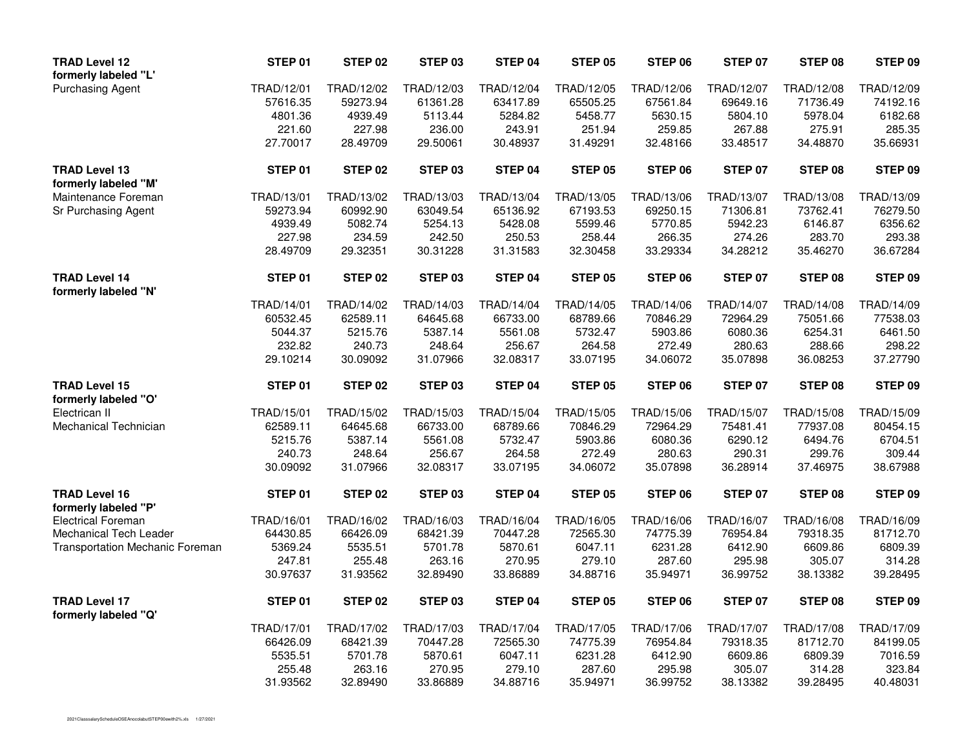| <b>TRAD Level 12</b><br>formerly labeled "L' | STEP 01            | STEP 02           | STEP 03           | STEP 04             | <b>STEP 05</b>      | STEP 06           | <b>STEP 07</b>    | STEP 08           | STEP 09    |
|----------------------------------------------|--------------------|-------------------|-------------------|---------------------|---------------------|-------------------|-------------------|-------------------|------------|
| <b>Purchasing Agent</b>                      | TRAD/12/01         | TRAD/12/02        | TRAD/12/03        | TRAD/12/04          | TRAD/12/05          | TRAD/12/06        | TRAD/12/07        | TRAD/12/08        | TRAD/12/09 |
|                                              | 57616.35           | 59273.94          | 61361.28          | 63417.89            | 65505.25            | 67561.84          | 69649.16          | 71736.49          | 74192.16   |
|                                              | 4801.36            | 4939.49           | 5113.44           | 5284.82             | 5458.77             | 5630.15           | 5804.10           | 5978.04           | 6182.68    |
|                                              | 221.60             | 227.98            | 236.00            | 243.91              | 251.94              | 259.85            | 267.88            | 275.91            | 285.35     |
|                                              | 27.70017           | 28.49709          | 29.50061          | 30.48937            | 31.49291            | 32.48166          | 33.48517          | 34.48870          | 35.66931   |
| <b>TRAD Level 13</b><br>formerly labeled "M" | STEP 01            | STEP 02           | STEP 03           | STEP 04             | STEP 05             | STEP 06           | STEP 07           | STEP 08           | STEP 09    |
| Maintenance Foreman                          | TRAD/13/01         | TRAD/13/02        | TRAD/13/03        | TRAD/13/04          | TRAD/13/05          | TRAD/13/06        | TRAD/13/07        | TRAD/13/08        | TRAD/13/09 |
| Sr Purchasing Agent                          | 59273.94           | 60992.90          | 63049.54          | 65136.92            | 67193.53            | 69250.15          | 71306.81          | 73762.41          | 76279.50   |
|                                              | 4939.49            | 5082.74           | 5254.13           | 5428.08             | 5599.46             | 5770.85           | 5942.23           | 6146.87           | 6356.62    |
|                                              | 227.98             | 234.59            | 242.50            | 250.53              | 258.44              | 266.35            | 274.26            | 283.70            | 293.38     |
|                                              | 28.49709           | 29.32351          | 30.31228          | 31.31583            | 32.30458            | 33.29334          | 34.28212          | 35.46270          | 36.67284   |
| <b>TRAD Level 14</b><br>formerly labeled "N' | STEP 01            | STEP 02           | STEP 03           | STEP 04             | STEP 05             | STEP 06           | STEP 07           | STEP 08           | STEP 09    |
|                                              | TRAD/14/01         | TRAD/14/02        | TRAD/14/03        | TRAD/14/04          | TRAD/14/05          | TRAD/14/06        | TRAD/14/07        | TRAD/14/08        | TRAD/14/09 |
|                                              | 60532.45           | 62589.11          | 64645.68          | 66733.00            | 68789.66            | 70846.29          | 72964.29          | 75051.66          | 77538.03   |
|                                              | 5044.37            | 5215.76           | 5387.14           | 5561.08             | 5732.47             | 5903.86           | 6080.36           | 6254.31           | 6461.50    |
|                                              | 232.82             | 240.73            | 248.64            | 256.67              | 264.58              | 272.49            | 280.63            | 288.66            | 298.22     |
|                                              | 29.10214           | 30.09092          | 31.07966          | 32.08317            | 33.07195            | 34.06072          | 35.07898          | 36.08253          | 37.27790   |
| <b>TRAD Level 15</b>                         | STEP 01            | STEP 02           | STEP 03           | STEP 04             | STEP 05             | STEP 06           | <b>STEP 07</b>    | STEP 08           | STEP 09    |
| formerly labeled "O"<br>Electrican II        | TRAD/15/01         | TRAD/15/02        | TRAD/15/03        | TRAD/15/04          | TRAD/15/05          | TRAD/15/06        | TRAD/15/07        | TRAD/15/08        | TRAD/15/09 |
|                                              | 62589.11           |                   | 66733.00          |                     |                     |                   |                   | 77937.08          | 80454.15   |
| Mechanical Technician                        |                    | 64645.68          |                   | 68789.66<br>5732.47 | 70846.29<br>5903.86 | 72964.29          | 75481.41          |                   | 6704.51    |
|                                              | 5215.76            | 5387.14<br>248.64 | 5561.08<br>256.67 | 264.58              | 272.49              | 6080.36<br>280.63 | 6290.12<br>290.31 | 6494.76<br>299.76 | 309.44     |
|                                              | 240.73<br>30.09092 | 31.07966          | 32.08317          | 33.07195            | 34.06072            | 35.07898          | 36.28914          | 37.46975          | 38.67988   |
| <b>TRAD Level 16</b>                         | STEP 01            | STEP 02           | STEP 03           | STEP 04             | STEP 05             | STEP 06           | STEP 07           | STEP 08           | STEP 09    |
| formerly labeled "P'                         |                    |                   |                   |                     |                     |                   |                   |                   |            |
| <b>Electrical Foreman</b>                    | TRAD/16/01         | TRAD/16/02        | TRAD/16/03        | TRAD/16/04          | TRAD/16/05          | TRAD/16/06        | TRAD/16/07        | TRAD/16/08        | TRAD/16/09 |
| Mechanical Tech Leader                       | 64430.85           | 66426.09          | 68421.39          | 70447.28            | 72565.30            | 74775.39          | 76954.84          | 79318.35          | 81712.70   |
| <b>Transportation Mechanic Foreman</b>       | 5369.24            | 5535.51           | 5701.78           | 5870.61             | 6047.11             | 6231.28           | 6412.90           | 6609.86           | 6809.39    |
|                                              | 247.81             | 255.48            | 263.16            | 270.95              | 279.10              | 287.60            | 295.98            | 305.07            | 314.28     |
|                                              | 30.97637           | 31.93562          | 32.89490          | 33.86889            | 34.88716            | 35.94971          | 36.99752          | 38.13382          | 39.28495   |
| <b>TRAD Level 17</b><br>formerly labeled "Q" | STEP 01            | STEP 02           | STEP 03           | STEP 04             | STEP 05             | STEP 06           | <b>STEP 07</b>    | STEP 08           | STEP 09    |
|                                              | TRAD/17/01         | TRAD/17/02        | TRAD/17/03        | TRAD/17/04          | TRAD/17/05          | TRAD/17/06        | TRAD/17/07        | TRAD/17/08        | TRAD/17/09 |
|                                              | 66426.09           | 68421.39          | 70447.28          | 72565.30            | 74775.39            | 76954.84          | 79318.35          | 81712.70          | 84199.05   |
|                                              | 5535.51            | 5701.78           | 5870.61           | 6047.11             | 6231.28             | 6412.90           | 6609.86           | 6809.39           | 7016.59    |
|                                              | 255.48             | 263.16            | 270.95            | 279.10              | 287.60              | 295.98            | 305.07            | 314.28            | 323.84     |
|                                              | 31.93562           | 32.89490          | 33.86889          | 34.88716            | 35.94971            | 36.99752          | 38.13382          | 39.28495          | 40.48031   |